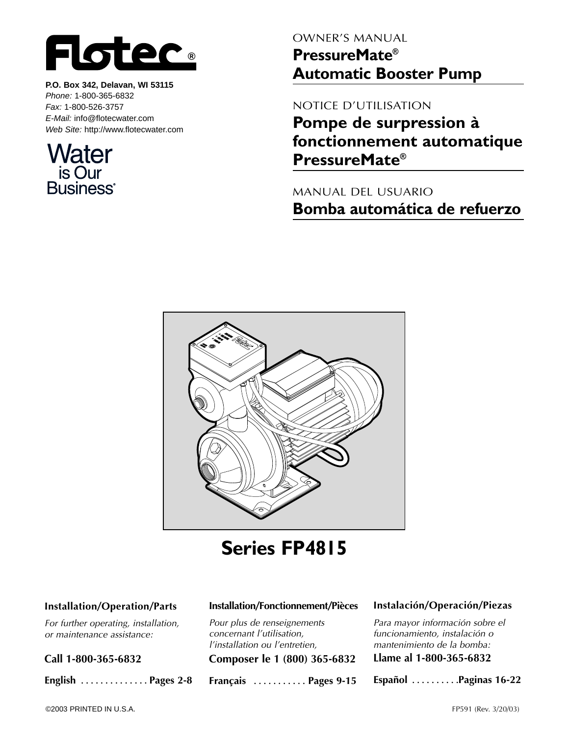

**P.O. Box 342, Delavan, WI 53115** *Phone:* 1-800-365-6832 *Fax:* 1-800-526-3757 *E-Mail:* info@flotecwater.com *Web Site:* http://www.flotecwater.com



OWNER'S MANUAL **PressureMate® Automatic Booster Pump**

NOTICE D'UTILISATION

**Pompe de surpression à fonctionnement automatique PressureMate®**

MANUAL DEL USUARIO **Bomba automática de refuerzo**



**Series FP4815**

#### **Installation/Operation/Parts**

*For further operating, installation, or maintenance assistance:* 

**Call 1-800-365-6832**

**English . . . . . . . . . . . . . . Pages 2-8**

#### **Installation/Fonctionnement/Pièces**

*Pour plus de renseignements concernant l'utilisation, l'installation ou l'entretien,*

**Composer le 1 (800) 365-6832**

**Français . . . . . . . . . . . Pages 9-15**

#### **Instalación/Operación/Piezas**

*Para mayor información sobre el funcionamiento, instalación o mantenimiento de la bomba:*

**Llame al 1-800-365-6832**

**Español . . . . . . . . . .Paginas 16-22**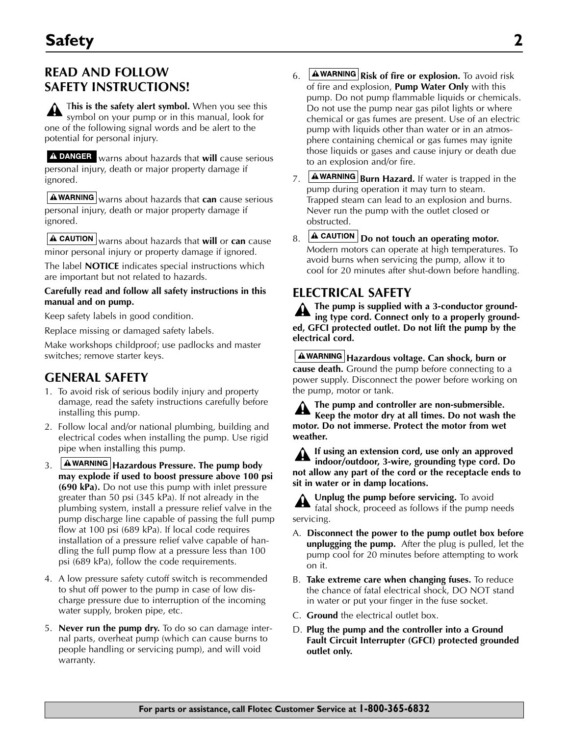## **READ AND FOLLOW SAFETY INSTRUCTIONS!**

T**his is the safety alert symbol.** When you see this symbol on your pump or in this manual, look for one of the following signal words and be alert to the potential for personal injury.

warns about hazards that **will** cause serious personal injury, death or major property damage if ignored.

**AWARNING** warns about hazards that **can** cause serious personal injury, death or major property damage if ignored.

warns about hazards that **will** or **can** cause minor personal injury or property damage if ignored.

The label **NOTICE** indicates special instructions which are important but not related to hazards.

#### **Carefully read and follow all safety instructions in this manual and on pump.**

Keep safety labels in good condition.

Replace missing or damaged safety labels.

Make workshops childproof; use padlocks and master switches; remove starter keys.

### **GENERAL SAFETY**

- 1. To avoid risk of serious bodily injury and property damage, read the safety instructions carefully before installing this pump.
- 2. Follow local and/or national plumbing, building and electrical codes when installing the pump. Use rigid pipe when installing this pump.
- 3. **Hazardous Pressure. The pump body may explode if used to boost pressure above 100 psi (690 kPa).** Do not use this pump with inlet pressure greater than 50 psi (345 kPa). If not already in the plumbing system, install a pressure relief valve in the pump discharge line capable of passing the full pump flow at 100 psi (689 kPa). If local code requires installation of a pressure relief valve capable of handling the full pump flow at a pressure less than 100 psi (689 kPa), follow the code requirements.
- 4. A low pressure safety cutoff switch is recommended to shut off power to the pump in case of low discharge pressure due to interruption of the incoming water supply, broken pipe, etc.
- 5. **Never run the pump dry.** To do so can damage internal parts, overheat pump (which can cause burns to people handling or servicing pump), and will void warranty.
- 6. **AWARNING** Risk of fire or explosion. To avoid risk of fire and explosion, **Pump Water Only** with this pump. Do not pump flammable liquids or chemicals. Do not use the pump near gas pilot lights or where chemical or gas fumes are present. Use of an electric pump with liquids other than water or in an atmosphere containing chemical or gas fumes may ignite those liquids or gases and cause injury or death due to an explosion and/or fire.
- 7. **AWARNING Burn Hazard.** If water is trapped in the pump during operation it may turn to steam. Trapped steam can lead to an explosion and burns. Never run the pump with the outlet closed or obstructed.
- 8. **A CAUTION** Do not touch an operating motor. Modern motors can operate at high temperatures. To avoid burns when servicing the pump, allow it to cool for 20 minutes after shut-down before handling.

## **ELECTRICAL SAFETY**

**The pump is supplied with a 3-conductor grounding type cord. Connect only to a properly grounded, GFCI protected outlet. Do not lift the pump by the electrical cord.**

**Hazardous voltage. Can shock, burn or cause death.** Ground the pump before connecting to a power supply. Disconnect the power before working on the pump, motor or tank.

**The pump and controller are non-submersible. Keep the motor dry at all times. Do not wash the motor. Do not immerse. Protect the motor from wet weather.**

**If using an extension cord, use only an approved indoor/outdoor, 3-wire, grounding type cord. Do not allow any part of the cord or the receptacle ends to sit in water or in damp locations.**

**Unplug the pump before servicing.** To avoid fatal shock, proceed as follows if the pump needs servicing.

- A. **Disconnect the power to the pump outlet box before unplugging the pump.** After the plug is pulled, let the pump cool for 20 minutes before attempting to work on it.
- B. **Take extreme care when changing fuses.** To reduce the chance of fatal electrical shock, DO NOT stand in water or put your finger in the fuse socket.
- C. **Ground** the electrical outlet box.
- D. **Plug the pump and the controller into a Ground Fault Circuit Interrupter (GFCI) protected grounded outlet only.**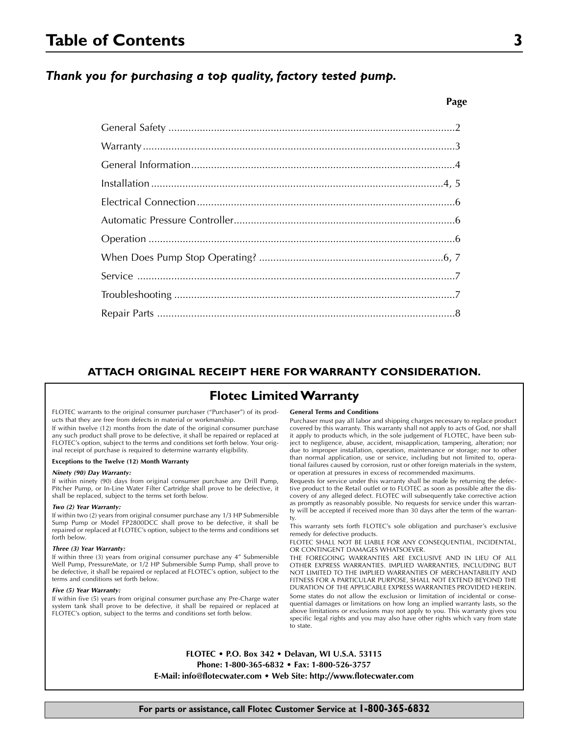## **Table of Contents 3**

#### *Thank you for purchasing a top quality, factory tested pump.*

#### **ATTACH ORIGINAL RECEIPT HERE FOR WARRANTY CONSIDERATION.**

### **Flotec Limited Warranty**

FLOTEC warrants to the original consumer purchaser ("Purchaser") of its products that they are free from defects in material or workmanship.

If within twelve (12) months from the date of the original consumer purchase any such product shall prove to be defective, it shall be repaired or replaced at FLOTEC's option, subject to the terms and conditions set forth below. Your original receipt of purchase is required to determine warranty eligibility.

#### **Exceptions to the Twelve (12) Month Warranty**

#### *Ninety (90) Day Warranty:*

If within ninety (90) days from original consumer purchase any Drill Pump, Pitcher Pump, or In-Line Water Filter Cartridge shall prove to be defective, it shall be replaced, subject to the terms set forth below.

#### *Two (2) Year Warranty:*

If within two (2) years from original consumer purchase any 1/3 HP Submersible Sump Pump or Model FP2800DCC shall prove to be defective, it shall be repaired or replaced at FLOTEC's option, subject to the terms and conditions set forth below.

#### *Three (3) Year Warranty:*

If within three (3) years from original consumer purchase any 4" Submersible Well Pump, PressureMate, or  $1/2$  HP Submersible Sump Pump, shall prove to be defective, it shall be repaired or replaced at FLOTEC's option, subject to the terms and conditions set forth below.

#### *Five (5) Year Warranty:*

If within five (5) years from original consumer purchase any Pre-Charge water system tank shall prove to be defective, it shall be repaired or replaced at FLOTEC's option, subject to the terms and conditions set forth below.

#### **General Terms and Conditions**

Purchaser must pay all labor and shipping charges necessary to replace product covered by this warranty. This warranty shall not apply to acts of God, nor shall it apply to products which, in the sole judgement of FLOTEC, have been subject to negligence, abuse, accident, misapplication, tampering, alteration; nor due to improper installation, operation, maintenance or storage; nor to other than normal application, use or service, including but not limited to, operational failures caused by corrosion, rust or other foreign materials in the system, or operation at pressures in excess of recommended maximums.

Requests for service under this warranty shall be made by returning the defective product to the Retail outlet or to FLOTEC as soon as possible after the discovery of any alleged defect. FLOTEC will subsequently take corrective action as promptly as reasonably possible. No requests for service under this warranty will be accepted if received more than 30 days after the term of the warranty.

This warranty sets forth FLOTEC's sole obligation and purchaser's exclusive remedy for defective products.

FLOTEC SHALL NOT BE LIABLE FOR ANY CONSEQUENTIAL, INCIDENTAL, OR CONTINGENT DAMAGES WHATSOEVER.

THE FOREGOING WARRANTIES ARE EXCLUSIVE AND IN LIEU OF ALL OTHER EXPRESS WARRANTIES. IMPLIED WARRANTIES, INCLUDING BUT NOT LIMITED TO THE IMPLIED WARRANTIES OF MERCHANTABILITY AND FITNESS FOR A PARTICULAR PURPOSE, SHALL NOT EXTEND BEYOND THE DURATION OF THE APPLICABLE EXPRESS WARRANTIES PROVIDED HEREIN. Some states do not allow the exclusion or limitation of incidental or consequential damages or limitations on how long an implied warranty lasts, so the above limitations or exclusions may not apply to you. This warranty gives you specific legal rights and you may also have other rights which vary from state to state.

**FLOTEC • P.O. Box 342 • Delavan, WI U.S.A. 53115 Phone: 1-800-365-6832 • Fax: 1-800-526-3757 E-Mail: info@flotecwater.com • Web Site: http://www.flotecwater.com**

#### **For parts or assistance, call Flotec Customer Service at 1-800-365-6832**

#### **Page**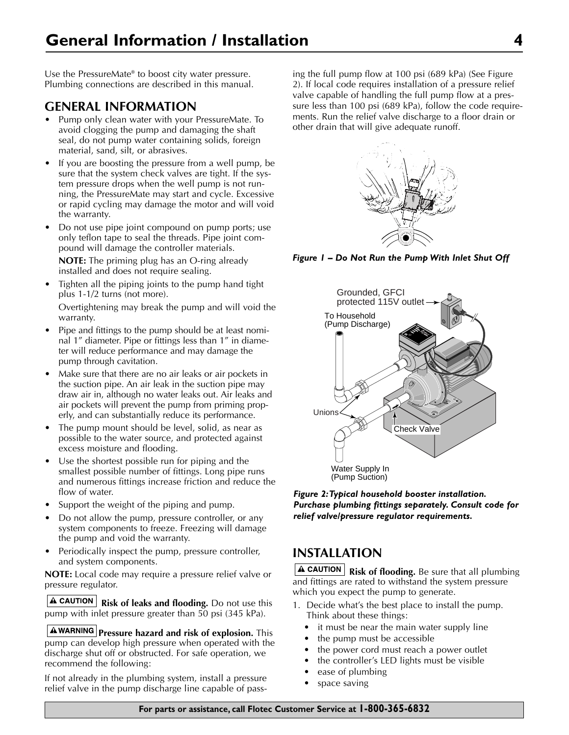Use the PressureMate® to boost city water pressure. Plumbing connections are described in this manual.

### **GENERAL INFORMATION**

- Pump only clean water with your PressureMate. To avoid clogging the pump and damaging the shaft seal, do not pump water containing solids, foreign material, sand, silt, or abrasives.
- If you are boosting the pressure from a well pump, be sure that the system check valves are tight. If the system pressure drops when the well pump is not running, the PressureMate may start and cycle. Excessive or rapid cycling may damage the motor and will void the warranty.
- Do not use pipe joint compound on pump ports; use only teflon tape to seal the threads. Pipe joint compound will damage the controller materials.

**NOTE:** The priming plug has an O-ring already installed and does not require sealing.

• Tighten all the piping joints to the pump hand tight plus 1-1/2 turns (not more).

Overtightening may break the pump and will void the warranty.

- Pipe and fittings to the pump should be at least nominal 1" diameter. Pipe or fittings less than 1" in diameter will reduce performance and may damage the pump through cavitation.
- Make sure that there are no air leaks or air pockets in the suction pipe. An air leak in the suction pipe may draw air in, although no water leaks out. Air leaks and air pockets will prevent the pump from priming properly, and can substantially reduce its performance.
- The pump mount should be level, solid, as near as possible to the water source, and protected against excess moisture and flooding.
- Use the shortest possible run for piping and the smallest possible number of fittings. Long pipe runs and numerous fittings increase friction and reduce the flow of water.
- Support the weight of the piping and pump.
- Do not allow the pump, pressure controller, or any system components to freeze. Freezing will damage the pump and void the warranty.
- Periodically inspect the pump, pressure controller, and system components.

**NOTE:** Local code may require a pressure relief valve or pressure regulator.

**A CAUTION** Risk of leaks and flooding. Do not use this pump with inlet pressure greater than 50 psi (345 kPa).

**AWARNING** Pressure hazard and risk of explosion. This pump can develop high pressure when operated with the discharge shut off or obstructed. For safe operation, we recommend the following:

If not already in the plumbing system, install a pressure relief valve in the pump discharge line capable of passing the full pump flow at 100 psi (689 kPa) (See Figure 2). If local code requires installation of a pressure relief valve capable of handling the full pump flow at a pressure less than 100 psi (689 kPa), follow the code requirements. Run the relief valve discharge to a floor drain or other drain that will give adequate runoff.



*Figure 1 – Do Not Run the Pump With Inlet Shut Off*



*Figure 2:Typical household booster installation. Purchase plumbing fittings separately. Consult code for relief valve/pressure regulator requirements.*

## **INSTALLATION**

**A CAUTION** Risk of flooding. Be sure that all plumbing and fittings are rated to withstand the system pressure which you expect the pump to generate.

- 1. Decide what's the best place to install the pump. Think about these things:
	- it must be near the main water supply line
	- the pump must be accessible
	- the power cord must reach a power outlet
	- the controller's LED lights must be visible
	- ease of plumbing
	- space saving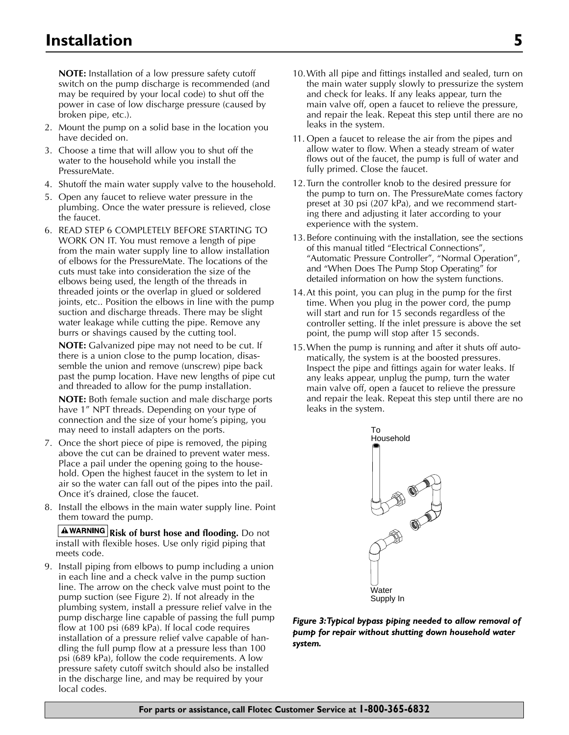**NOTE:** Installation of a low pressure safety cutoff switch on the pump discharge is recommended (and may be required by your local code) to shut off the power in case of low discharge pressure (caused by broken pipe, etc.).

- 2. Mount the pump on a solid base in the location you have decided on.
- 3. Choose a time that will allow you to shut off the water to the household while you install the PressureMate.
- 4. Shutoff the main water supply valve to the household.
- 5. Open any faucet to relieve water pressure in the plumbing. Once the water pressure is relieved, close the faucet.
- 6. READ STEP 6 COMPLETELY BEFORE STARTING TO WORK ON IT. You must remove a length of pipe from the main water supply line to allow installation of elbows for the PressureMate. The locations of the cuts must take into consideration the size of the elbows being used, the length of the threads in threaded joints or the overlap in glued or soldered joints, etc.. Position the elbows in line with the pump suction and discharge threads. There may be slight water leakage while cutting the pipe. Remove any burrs or shavings caused by the cutting tool.

**NOTE:** Galvanized pipe may not need to be cut. If there is a union close to the pump location, disassemble the union and remove (unscrew) pipe back past the pump location. Have new lengths of pipe cut and threaded to allow for the pump installation.

**NOTE:** Both female suction and male discharge ports have 1" NPT threads. Depending on your type of connection and the size of your home's piping, you may need to install adapters on the ports.

- 7. Once the short piece of pipe is removed, the piping above the cut can be drained to prevent water mess. Place a pail under the opening going to the household. Open the highest faucet in the system to let in air so the water can fall out of the pipes into the pail. Once it's drained, close the faucet.
- 8. Install the elbows in the main water supply line. Point them toward the pump.

**A WARNING Risk of burst hose and flooding.** Do not install with flexible hoses. Use only rigid piping that meets code.

9. Install piping from elbows to pump including a union in each line and a check valve in the pump suction line. The arrow on the check valve must point to the pump suction (see Figure 2). If not already in the plumbing system, install a pressure relief valve in the pump discharge line capable of passing the full pump flow at 100 psi (689 kPa). If local code requires installation of a pressure relief valve capable of handling the full pump flow at a pressure less than 100 psi (689 kPa), follow the code requirements. A low pressure safety cutoff switch should also be installed in the discharge line, and may be required by your local codes.

- 10.With all pipe and fittings installed and sealed, turn on the main water supply slowly to pressurize the system and check for leaks. If any leaks appear, turn the main valve off, open a faucet to relieve the pressure, and repair the leak. Repeat this step until there are no leaks in the system.
- 11. Open a faucet to release the air from the pipes and allow water to flow. When a steady stream of water flows out of the faucet, the pump is full of water and fully primed. Close the faucet.
- 12.Turn the controller knob to the desired pressure for the pump to turn on. The PressureMate comes factory preset at 30 psi (207 kPa), and we recommend starting there and adjusting it later according to your experience with the system.
- 13.Before continuing with the installation, see the sections of this manual titled "Electrical Connections", "Automatic Pressure Controller", "Normal Operation", and "When Does The Pump Stop Operating" for detailed information on how the system functions.
- 14.At this point, you can plug in the pump for the first time. When you plug in the power cord, the pump will start and run for 15 seconds regardless of the controller setting. If the inlet pressure is above the set point, the pump will stop after 15 seconds.
- 15.When the pump is running and after it shuts off automatically, the system is at the boosted pressures. Inspect the pipe and fittings again for water leaks. If any leaks appear, unplug the pump, turn the water main valve off, open a faucet to relieve the pressure and repair the leak. Repeat this step until there are no leaks in the system.



*Figure 3:Typical bypass piping needed to allow removal of pump for repair without shutting down household water system.*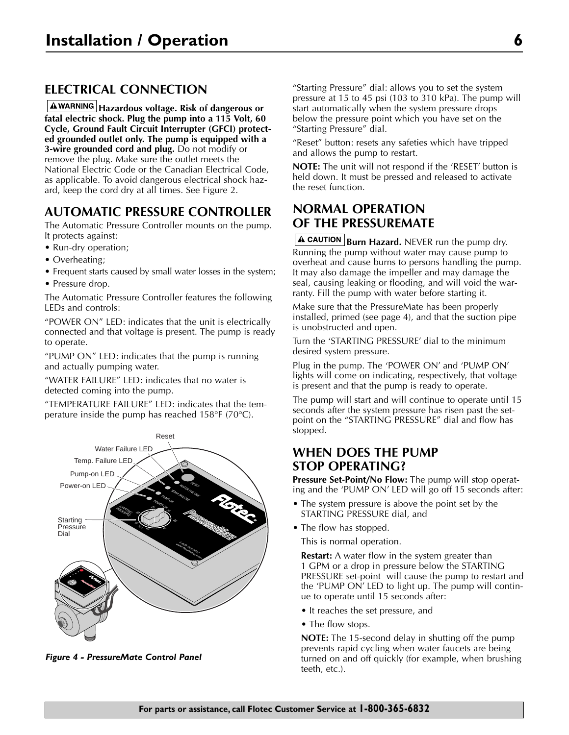## **ELECTRICAL CONNECTION**

**Hazardous voltage. Risk of dangerous or fatal electric shock. Plug the pump into a 115 Volt, 60 Cycle, Ground Fault Circuit Interrupter (GFCI) protected grounded outlet only. The pump is equipped with a 3-wire grounded cord and plug.** Do not modify or remove the plug. Make sure the outlet meets the National Electric Code or the Canadian Electrical Code, as applicable. To avoid dangerous electrical shock hazard, keep the cord dry at all times. See Figure 2.

### **AUTOMATIC PRESSURE CONTROLLER**

The Automatic Pressure Controller mounts on the pump. It protects against:

- Run-dry operation;
- Overheating;
- Frequent starts caused by small water losses in the system;
- Pressure drop.

The Automatic Pressure Controller features the following LEDs and controls:

"POWER ON" LED: indicates that the unit is electrically connected and that voltage is present. The pump is ready to operate.

"PUMP ON" LED: indicates that the pump is running and actually pumping water.

"WATER FAILURE" LED: indicates that no water is detected coming into the pump.

"TEMPERATURE FAILURE" LED: indicates that the temperature inside the pump has reached 158°F (70°C).



*Figure 4 - PressureMate Control Panel*

"Starting Pressure" dial: allows you to set the system pressure at 15 to 45 psi (103 to 310 kPa). The pump will start automatically when the system pressure drops below the pressure point which you have set on the "Starting Pressure" dial.

"Reset" button: resets any safeties which have tripped and allows the pump to restart.

**NOTE:** The unit will not respond if the 'RESET' button is held down. It must be pressed and released to activate the reset function.

## **NORMAL OPERATION OF THE PRESSUREMATE**

**A CAUTION Burn Hazard.** NEVER run the pump dry. Running the pump without water may cause pump to overheat and cause burns to persons handling the pump. It may also damage the impeller and may damage the seal, causing leaking or flooding, and will void the warranty. Fill the pump with water before starting it.

Make sure that the PressureMate has been properly installed, primed (see page 4), and that the suction pipe is unobstructed and open.

Turn the 'STARTING PRESSURE' dial to the minimum desired system pressure.

Plug in the pump. The 'POWER ON' and 'PUMP ON' lights will come on indicating, respectively, that voltage is present and that the pump is ready to operate.

The pump will start and will continue to operate until 15 seconds after the system pressure has risen past the setpoint on the "STARTING PRESSURE" dial and flow has stopped.

### **WHEN DOES THE PUMP STOP OPERATING?**

**Pressure Set-Point/No Flow:** The pump will stop operating and the 'PUMP ON' LED will go off 15 seconds after:

- The system pressure is above the point set by the STARTING PRESSURE dial, and
- The flow has stopped.

This is normal operation.

**Restart:** A water flow in the system greater than 1 GPM or a drop in pressure below the STARTING PRESSURE set-point will cause the pump to restart and the 'PUMP ON' LED to light up. The pump will continue to operate until 15 seconds after:

- It reaches the set pressure, and
- The flow stops.

**NOTE:** The 15-second delay in shutting off the pump prevents rapid cycling when water faucets are being turned on and off quickly (for example, when brushing teeth, etc.).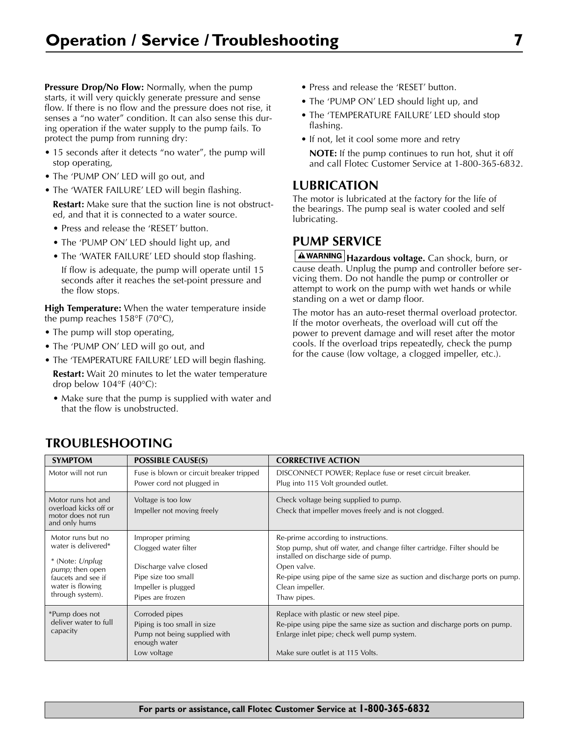**Pressure Drop/No Flow:** Normally, when the pump starts, it will very quickly generate pressure and sense flow. If there is no flow and the pressure does not rise, it senses a "no water" condition. It can also sense this during operation if the water supply to the pump fails. To protect the pump from running dry:

- 15 seconds after it detects "no water", the pump will stop operating,
- The 'PUMP ON' LED will go out, and
- The 'WATER FAILURE' LED will begin flashing.

**Restart:** Make sure that the suction line is not obstructed, and that it is connected to a water source.

- Press and release the 'RESET' button.
- The 'PUMP ON' LED should light up, and
- The 'WATER FAILURE' LED should stop flashing.

If flow is adequate, the pump will operate until 15 seconds after it reaches the set-point pressure and the flow stops.

**High Temperature:** When the water temperature inside the pump reaches 158°F (70°C),

- The pump will stop operating,
- The 'PUMP ON' LED will go out, and
- The 'TEMPERATURE FAILURE' LED will begin flashing.

**Restart:** Wait 20 minutes to let the water temperature drop below  $104^{\circ}F$  (40 $^{\circ}C$ ):

• Make sure that the pump is supplied with water and that the flow is unobstructed.

- Press and release the 'RESET' button.
- The 'PUMP ON' LED should light up, and
- The 'TEMPERATURE FAILURE' LED should stop flashing.
- If not, let it cool some more and retry
- **NOTE:** If the pump continues to run hot, shut it off and call Flotec Customer Service at 1-800-365-6832.

### **LUBRICATION**

The motor is lubricated at the factory for the life of the bearings. The pump seal is water cooled and self lubricating.

## **PUMP SERVICE**

A WARNING Hazardous voltage. Can shock, burn, or cause death. Unplug the pump and controller before servicing them. Do not handle the pump or controller or attempt to work on the pump with wet hands or while standing on a wet or damp floor.

The motor has an auto-reset thermal overload protector. If the motor overheats, the overload will cut off the power to prevent damage and will reset after the motor cools. If the overload trips repeatedly, check the pump for the cause (low voltage, a clogged impeller, etc.).

| <b>SYMPTOM</b>                                                                                                                                        | <b>POSSIBLE CAUSE(S)</b>                                                                                                             | <b>CORRECTIVE ACTION</b>                                                                                                                                                                                                                                                                |
|-------------------------------------------------------------------------------------------------------------------------------------------------------|--------------------------------------------------------------------------------------------------------------------------------------|-----------------------------------------------------------------------------------------------------------------------------------------------------------------------------------------------------------------------------------------------------------------------------------------|
| Motor will not run                                                                                                                                    | Fuse is blown or circuit breaker tripped<br>Power cord not plugged in                                                                | DISCONNECT POWER; Replace fuse or reset circuit breaker.<br>Plug into 115 Volt grounded outlet.                                                                                                                                                                                         |
| Motor runs hot and<br>overload kicks off or<br>motor does not run<br>and only hums                                                                    | Voltage is too low<br>Impeller not moving freely                                                                                     | Check voltage being supplied to pump.<br>Check that impeller moves freely and is not clogged.                                                                                                                                                                                           |
| Motor runs but no<br>water is delivered*<br>* (Note: Unplug)<br><i>pump</i> ; then open<br>faucets and see if<br>water is flowing<br>through system). | Improper priming<br>Clogged water filter<br>Discharge valve closed<br>Pipe size too small<br>Impeller is plugged<br>Pipes are frozen | Re-prime according to instructions.<br>Stop pump, shut off water, and change filter cartridge. Filter should be<br>installed on discharge side of pump.<br>Open valve.<br>Re-pipe using pipe of the same size as suction and discharge ports on pump.<br>Clean impeller.<br>Thaw pipes. |
| *Pump does not<br>deliver water to full<br>capacity                                                                                                   | Corroded pipes<br>Piping is too small in size<br>Pump not being supplied with<br>enough water<br>Low voltage                         | Replace with plastic or new steel pipe.<br>Re-pipe using pipe the same size as suction and discharge ports on pump.<br>Enlarge inlet pipe; check well pump system.<br>Make sure outlet is at 115 Volts.                                                                                 |

## **TROUBLESHOOTING**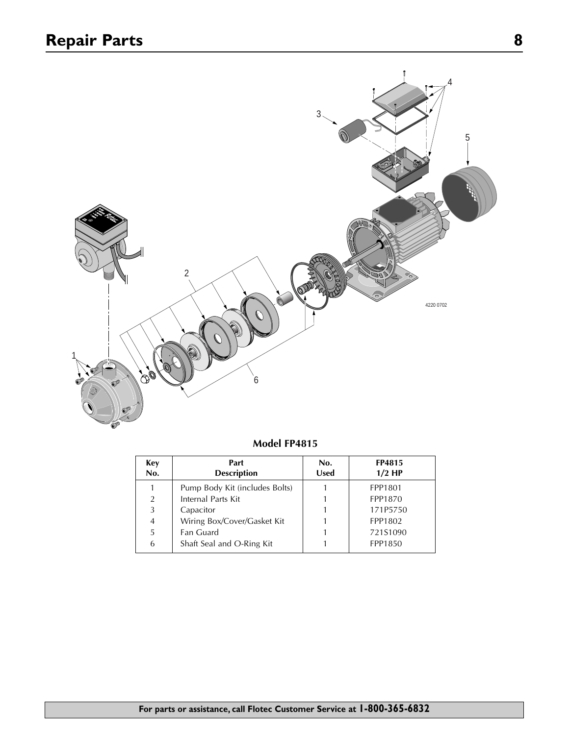

| Model FP4815 |  |
|--------------|--|
|--------------|--|

| Key<br>No. | Part<br><b>Description</b>     | No.<br><b>Used</b> | <b>FP4815</b><br>$1/2$ HP |
|------------|--------------------------------|--------------------|---------------------------|
|            | Pump Body Kit (includes Bolts) |                    | FPP1801                   |
| 2          | Internal Parts Kit             |                    | FPP1870                   |
| 3          | Capacitor                      |                    | 171P5750                  |
| 4          | Wiring Box/Cover/Gasket Kit    |                    | FPP1802                   |
| 5          | Fan Guard                      |                    | 721S1090                  |
| 6          | Shaft Seal and O-Ring Kit      |                    | FPP1850                   |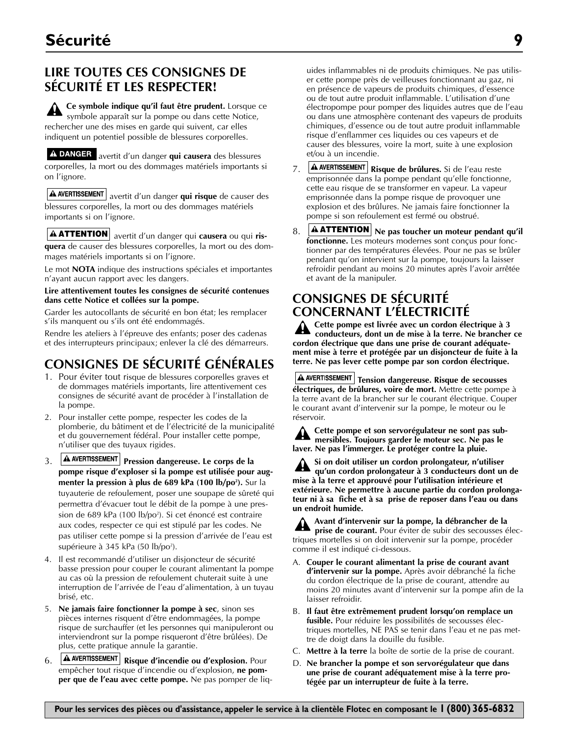## **LIRE TOUTES CES CONSIGNES DE SÉCURITÉ ET LES RESPECTER!**

**Ce symbole indique qu'il faut être prudent.** Lorsque ce symbole apparaît sur la pompe ou dans cette Notice, rechercher une des mises en garde qui suivent, car elles indiquent un potentiel possible de blessures corporelles.

A DANGER avertit d'un danger qui causera des blessures corporelles, la mort ou des dommages matériels importants si on l'ignore.

**A AVERTISSEMENT** avertit d'un danger qui risque de causer des blessures corporelles, la mort ou des dommages matériels importants si on l'ignore.

**ATTENTION** avertit d'un danger qui **causera** ou qui ris-<br> **A ATTENTION** avertit d'un danger qui **causera** ou qui ris-<br> **A ATTENTION quera** de causer des blessures corporelles, la mort ou des dommages matériels importants si on l'ignore.

Le mot **NOTA** indique des instructions spéciales et importantes n'ayant aucun rapport avec les dangers.

#### **Lire attentivement toutes les consignes de sécurité contenues dans cette Notice et collées sur la pompe.**

Garder les autocollants de sécurité en bon état; les remplacer s'ils manquent ou s'ils ont été endommagés.

Rendre les ateliers à l'épreuve des enfants; poser des cadenas et des interrupteurs principaux; enlever la clé des démarreurs.

# **CONSIGNES DE SÉCURITÉ GÉNÉRALES**

- 1. Pour éviter tout risque de blessures corporelles graves et de dommages matériels importants, lire attentivement ces consignes de sécurité avant de procéder à l'installation de la pompe.
- 2. Pour installer cette pompe, respecter les codes de la plomberie, du bâtiment et de l'électricité de la municipalité et du gouvernement fédéral. Pour installer cette pompe, n'utiliser que des tuyaux rigides.
- 3. **A AVERTISSEMENT** Pression dangereuse. Le corps de la **pompe risque d'exploser si la pompe est utilisée pour augmenter la pression à plus de 689 kPa (100 lb/po²).** Sur la tuyauterie de refoulement, poser une soupape de sûreté qui permettra d'évacuer tout le débit de la pompe à une pression de 689 kPa (100 lb/po2 ). Si cet énoncé est contraire aux codes, respecter ce qui est stipulé par les codes. Ne pas utiliser cette pompe si la pression d'arrivée de l'eau est supérieure à 345 kPa (50 lb/po²).
- 4. Il est recommandé d'utiliser un disjoncteur de sécurité basse pression pour couper le courant alimentant la pompe au cas où la pression de refoulement chuterait suite à une interruption de l'arrivée de l'eau d'alimentation, à un tuyau brisé, etc.
- 5. **Ne jamais faire fonctionner la pompe à sec**, sinon ses pièces internes risquent d'être endommagées, la pompe risque de surchauffer (et les personnes qui manipuleront ou interviendront sur la pompe risqueront d'être brûlées). De plus, cette pratique annule la garantie.
- 6. **A AVERTISSEMENT** Risque d'incendie ou d'explosion. Pour empêcher tout risque d'incendie ou d'explosion, **ne pomper que de l'eau avec cette pompe.** Ne pas pomper de liq-

uides inflammables ni de produits chimiques. Ne pas utiliser cette pompe près de veilleuses fonctionnant au gaz, ni en présence de vapeurs de produits chimiques, d'essence ou de tout autre produit inflammable. L'utilisation d'une électropompe pour pomper des liquides autres que de l'eau ou dans une atmosphère contenant des vapeurs de produits chimiques, d'essence ou de tout autre produit inflammable risque d'enflammer ces liquides ou ces vapeurs et de causer des blessures, voire la mort, suite à une explosion et/ou à un incendie.

- 7. **A AVERTISSEMENT** Risque de brûlures. Si de l'eau reste emprisonnée dans la pompe pendant qu'elle fonctionne, cette eau risque de se transformer en vapeur. La vapeur emprisonnée dans la pompe risque de provoquer une explosion et des brûlures. Ne jamais faire fonctionner la pompe si son refoulement est fermé ou obstrué.
- 8. **A ATTENTION** Ne pas toucher un moteur pendant qu'il **fonctionne.** Les moteurs modernes sont conçus pour fonctionner par des températures élevées. Pour ne pas se brûler pendant qu'on intervient sur la pompe, toujours la laisser refroidir pendant au moins 20 minutes après l'avoir arrêtée et avant de la manipuler.

### **CONSIGNES DE SÉCURITÉ CONCERNANT L'ÉLECTRICITÉ**

**Cette pompe est livrée avec un cordon électrique à 3 conducteurs, dont un de mise à la terre. Ne brancher ce cordon électrique que dans une prise de courant adéquatement mise à terre et protégée par un disjoncteur de fuite à la terre. Ne pas lever cette pompe par son cordon électrique.**

 $A$  AVERTISSEMENT Tension dangereuse. Risque de secousses **électriques, de brûlures, voire de mort.** Mettre cette pompe à la terre avant de la brancher sur le courant électrique. Couper le courant avant d'intervenir sur la pompe, le moteur ou le réservoir.

**Cette pompe et son servorégulateur ne sont pas submersibles. Toujours garder le moteur sec. Ne pas le laver. Ne pas l'immerger. Le protéger contre la pluie.**

**Si on doit utiliser un cordon prolongateur, n'utiliser qu'un cordon prolongateur à 3 conducteurs dont un de mise à la terre et approuvé pour l'utilisation intérieure et extérieure. Ne permettre à aucune partie du cordon prolongateur ni à sa fiche et à sa prise de reposer dans l'eau ou dans un endroit humide.**

**Avant d'intervenir sur la pompe, la débrancher de la prise de courant.** Pour éviter de subir des secousses électriques mortelles si on doit intervenir sur la pompe, procéder comme il est indiqué ci-dessous.

- A. **Couper le courant alimentant la prise de courant avant d'intervenir sur la pompe.** Après avoir débranché la fiche du cordon électrique de la prise de courant, attendre au moins 20 minutes avant d'intervenir sur la pompe afin de la laisser refroidir.
- B. **Il faut être extrêmement prudent lorsqu'on remplace un fusible.** Pour réduire les possibilités de secousses électriques mortelles, NE PAS se tenir dans l'eau et ne pas mettre de doigt dans la douille du fusible.
- C. **Mettre à la terre** la boîte de sortie de la prise de courant.
- D. **Ne brancher la pompe et son servorégulateur que dans une prise de courant adéquatement mise à la terre protégée par un interrupteur de fuite à la terre.**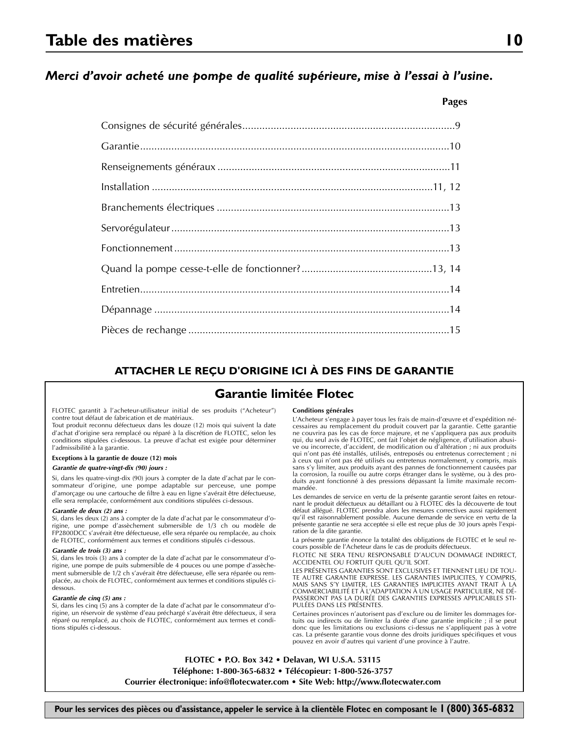### *Merci d'avoir acheté une pompe de qualité supérieure, mise à l'essai à l'usine.*

#### **ATTACHER LE REÇU D'ORIGINE ICI À DES FINS DE GARANTIE**

#### **Garantie limitée Flotec**

FLOTEC garantit à l'acheteur-utilisateur initial de ses produits ("Acheteur") contre tout défaut de fabrication et de matériaux.

Tout produit reconnu défectueux dans les douze (12) mois qui suivent la date d'achat d'origine sera remplacé ou réparé à la discrétion de FLOTEC, selon les conditions stipulées ci-dessous. La preuve d'achat est exigée pour déterminer l'admissibilité à la garantie.

#### **Exceptions à la garantie de douze (12) mois**

*Garantie de quatre-vingt-dix (90) jours :*

Si, dans les quatre-vingt-dix (90) jours à compter de la date d'achat par le consommateur d'origine, une pompe adaptable sur perceuse, une pompe d'amorçage ou une cartouche de filtre à eau en ligne s'avérait être défectueuse, elle sera remplacée, conformément aux conditions stipulées ci-dessous.

#### *Garantie de deux (2) ans :*

Si, dans les deux (2) ans à compter de la date d'achat par le consommateur d'origine, une pompe d'assèchement submersible de 1/3 ch ou modèle de FP2800DCC s'avérait être défectueuse, elle sera réparée ou remplacée, au choix de FLOTEC, conformément aux termes et conditions stipulés ci-dessous.

#### *Garantie de trois (3) ans :*

Si, dans les trois (3) ans à compter de la date d'achat par le consommateur d'origine, une pompe de puits submersible de 4 pouces ou une pompe d'assèchement submersible de 1/2 ch s'avérait être défectueuse, elle sera réparée ou remplacée, au choix de FLOTEC, conformément aux termes et conditions stipulés cidessous.

#### *Garantie de cinq (5) ans :*

Si, dans les cinq (5) ans à compter de la date d'achat par le consommateur d'origine, un réservoir de système d'eau préchargé s'avérait être défectueux, il sera réparé ou remplacé, au choix de FLOTEC, conformément aux termes et conditions stipulés ci-dessous.

#### **Conditions générales**

L'Acheteur s'engage à payer tous les frais de main-d'œuvre et d'expédition nécessaires au remplacement du produit couvert par la garantie. Cette garantie ne couvrira pas les cas de force majeure, et ne s'appliquera pas aux produits qui, du seul avis de FLOTEC, ont fait l'objet de négligence, d'utilisation abusive ou incorrecte, d'accident, de modification ou d'altération ; ni aux produits qui n'ont pas été installés, utilisés, entreposés ou entretenus correctement ; ni à ceux qui n'ont pas été utilisés ou entretenus normalement, y compris, mais sans s'y limiter, aux produits ayant des pannes de fonctionnement causées par la corrosion, la rouille ou autre corps étranger dans le système, ou à des pro-duits ayant fonctionné à des pressions dépassant la limite maximale recommandée.

Les demandes de service en vertu de la présente garantie seront faites en retournant le produit défectueux au détaillant ou à FLOTEC dès la découverte de tout défaut allégué. FLOTEC prendra alors les mesures correctives aussi rapidement qu'il est raisonnablement possible. Aucune demande de service en vertu de la présente garantie ne sera acceptée si elle est reçue plus de 30 jours après l'expiration de la dite garantie.

La présente garantie énonce la totalité des obligations de FLOTEC et le seul recours possible de l'Acheteur dans le cas de produits défectueux.

FLOTEC NE SERA TENU RESPONSABLE D'AUCUN DOMMAGE INDIRECT, ACCIDENTEL OU FORTUIT QUEL QU'IL SOIT.

LES PRÉSENTES GARANTIES SONT EXCLUSIVES ET TIENNENT LIEU DE TOU-TE AUTRE GARANTIE EXPRESSE. LES GARANTIES IMPLICITES, Y COMPRIS, MAIS SANS S'Y LIMITER, LES GARANTIES IMPLICITES AYANT TRAIT À LA COMMERCIABILITÉ ET À L'ADAPTATION À UN USAGE PARTICULIER, NE DÉ-PASSERONT PAS LA DURÉE DES GARANTIES EXPRESSES APPLICABLES STI-PULÉES DANS LES PRÉSENTES.

Certaines provinces n'autorisent pas d'exclure ou de limiter les dommages fortuits ou indirects ou de limiter la durée d'une garantie implicite ; il se peut donc que les limitations ou exclusions ci-dessus ne s'appliquent pas à votre cas. La présente garantie vous donne des droits juridiques spécifiques et vous pouvez en avoir d'autres qui varient d'une province à l'autre.

**FLOTEC • P.O. Box 342 • Delavan, WI U.S.A. 53115 Téléphone: 1-800-365-6832 • Télécopieur: 1-800-526-3757 Courrier électronique: info@flotecwater.com • Site Web: http://www.flotecwater.com**

**Pages**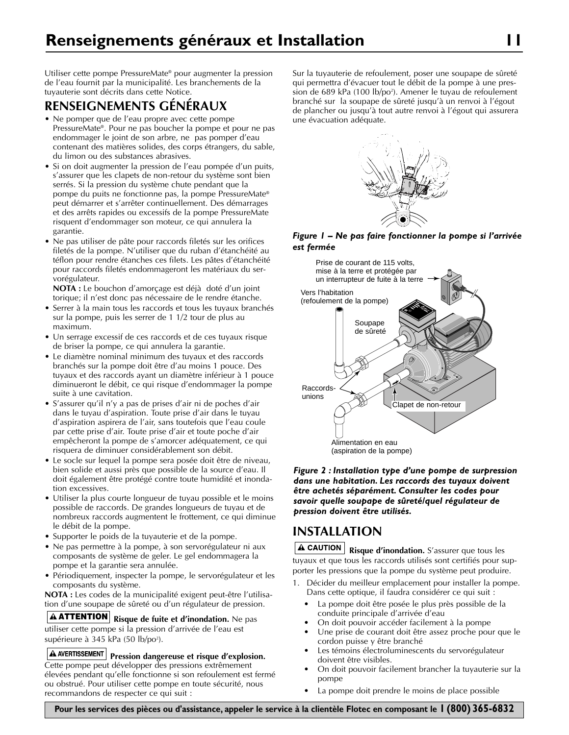Utiliser cette pompe PressureMate® pour augmenter la pression de l'eau fournit par la municipalité. Les branchements de la tuyauterie sont décrits dans cette Notice.

## **RENSEIGNEMENTS GÉNÉRAUX**

- Ne pomper que de l'eau propre avec cette pompe PressureMate®. Pour ne pas boucher la pompe et pour ne pas endommager le joint de son arbre, ne pas pomper d'eau contenant des matières solides, des corps étrangers, du sable, du limon ou des substances abrasives.
- Si on doit augmenter la pression de l'eau pompée d'un puits, s'assurer que les clapets de non-retour du système sont bien serrés. Si la pression du système chute pendant que la pompe du puits ne fonctionne pas, la pompe PressureMate® peut démarrer et s'arrêter continuellement. Des démarrages et des arrêts rapides ou excessifs de la pompe PressureMate risquent d'endommager son moteur, ce qui annulera la garantie.
- Ne pas utiliser de pâte pour raccords filetés sur les orifices filetés de la pompe. N'utiliser que du ruban d'étanchéité au téflon pour rendre étanches ces filets. Les pâtes d'étanchéité pour raccords filetés endommageront les matériaux du servorégulateur.

**NOTA :** Le bouchon d'amorçage est déjà doté d'un joint torique; il n'est donc pas nécessaire de le rendre étanche.

- Serrer à la main tous les raccords et tous les tuyaux branchés sur la pompe, puis les serrer de 1 1/2 tour de plus au maximum.
- Un serrage excessif de ces raccords et de ces tuyaux risque de briser la pompe, ce qui annulera la garantie.
- Le diamètre nominal minimum des tuyaux et des raccords branchés sur la pompe doit être d'au moins 1 pouce. Des tuyaux et des raccords ayant un diamètre inférieur à 1 pouce diminueront le débit, ce qui risque d'endommager la pompe suite à une cavitation.
- S'assurer qu'il n'y a pas de prises d'air ni de poches d'air dans le tuyau d'aspiration. Toute prise d'air dans le tuyau d'aspiration aspirera de l'air, sans toutefois que l'eau coule par cette prise d'air. Toute prise d'air et toute poche d'air empêcheront la pompe de s'amorcer adéquatement, ce qui risquera de diminuer considérablement son débit.
- Le socle sur lequel la pompe sera posée doit être de niveau, bien solide et aussi près que possible de la source d'eau. Il doit également être protégé contre toute humidité et inondation excessives.
- Utiliser la plus courte longueur de tuyau possible et le moins possible de raccords. De grandes longueurs de tuyau et de nombreux raccords augmentent le frottement, ce qui diminue le débit de la pompe.
- Supporter le poids de la tuyauterie et de la pompe.
- Ne pas permettre à la pompe, à son servorégulateur ni aux composants de système de geler. Le gel endommagera la pompe et la garantie sera annulée.
- Périodiquement, inspecter la pompe, le servorégulateur et les composants du système.

**NOTA :** Les codes de la municipalité exigent peut-être l'utilisation d'une soupape de sûreté ou d'un régulateur de pression.

**Risque de fuite et d'inondation.** Ne pas **ATTENTION** utiliser cette pompe si la pression d'arrivée de l'eau est supérieure à 345 kPa (50 lb/po<sup>2</sup>).

**A** AVERTISSEMENT Pression dangereuse et risque d'explosion. Cette pompe peut développer des pressions extrêmement élevées pendant qu'elle fonctionne si son refoulement est fermé ou obstrué. Pour utiliser cette pompe en toute sécurité, nous recommandons de respecter ce qui suit :

Sur la tuyauterie de refoulement, poser une soupape de sûreté qui permettra d'évacuer tout le débit de la pompe à une pression de 689 kPa (100 lb/po2 ). Amener le tuyau de refoulement branché sur la soupape de sûreté jusqu'à un renvoi à l'égout de plancher ou jusqu'à tout autre renvoi à l'égout qui assurera une évacuation adéquate.



*Figure 1 – Ne pas faire fonctionner la pompe si l'arrivée est fermée*



*Figure 2 : Installation type d'une pompe de surpression dans une habitation. Les raccords des tuyaux doivent être achetés séparément. Consulter les codes pour savoir quelle soupape de sûreté/quel régulateur de pression doivent être utilisés.*

## **INSTALLATION**

**A CAUTION** Risque d'inondation. S'assurer que tous les tuyaux et que tous les raccords utilisés sont certifiés pour supporter les pressions que la pompe du système peut produire.

- 1. Décider du meilleur emplacement pour installer la pompe. Dans cette optique, il faudra considérer ce qui suit :
	- La pompe doit être posée le plus près possible de la conduite principale d'arrivée d'eau
	- On doit pouvoir accéder facilement à la pompe
	- Une prise de courant doit être assez proche pour que le cordon puisse y être branché
	- Les témoins électroluminescents du servorégulateur doivent être visibles.
	- On doit pouvoir facilement brancher la tuyauterie sur la pompe
	- La pompe doit prendre le moins de place possible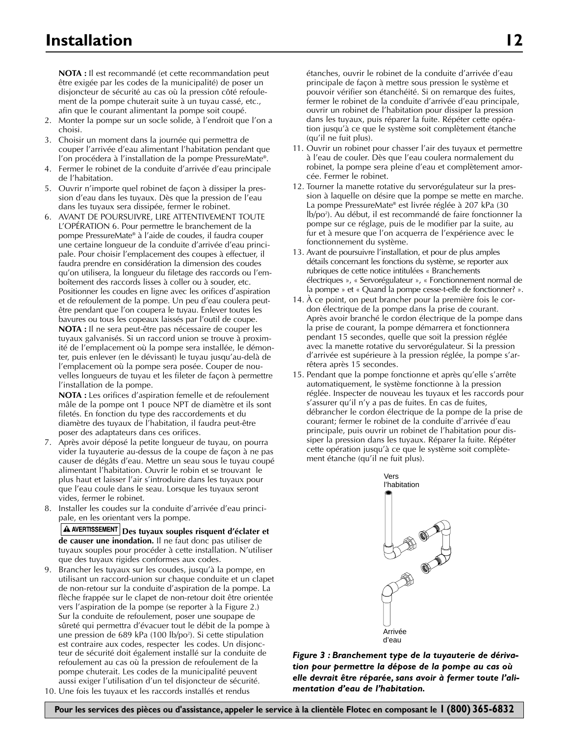**NOTA :** Il est recommandé (et cette recommandation peut être exigée par les codes de la municipalité) de poser un disjoncteur de sécurité au cas où la pression côté refoulement de la pompe chuterait suite à un tuyau cassé, etc., afin que le courant alimentant la pompe soit coupé.

- 2. Monter la pompe sur un socle solide, à l'endroit que l'on a choisi.
- 3. Choisir un moment dans la journée qui permettra de couper l'arrivée d'eau alimentant l'habitation pendant que l'on procédera à l'installation de la pompe PressureMate®.
- 4. Fermer le robinet de la conduite d'arrivée d'eau principale de l'habitation.
- 5. Ouvrir n'importe quel robinet de façon à dissiper la pression d'eau dans les tuyaux. Dès que la pression de l'eau dans les tuyaux sera dissipée, fermer le robinet.
- 6. AVANT DE POURSUIVRE, LIRE ATTENTIVEMENT TOUTE L'OPÉRATION 6. Pour permettre le branchement de la pompe PressureMate® à l'aide de coudes, il faudra couper une certaine longueur de la conduite d'arrivée d'eau principale. Pour choisir l'emplacement des coupes à effectuer, il faudra prendre en considération la dimension des coudes qu'on utilisera, la longueur du filetage des raccords ou l'emboîtement des raccords lisses à coller ou à souder, etc. Positionner les coudes en ligne avec les orifices d'aspiration et de refoulement de la pompe. Un peu d'eau coulera peutêtre pendant que l'on coupera le tuyau. Enlever toutes les bavures ou tous les copeaux laissés par l'outil de coupe. **NOTA :** Il ne sera peut-être pas nécessaire de couper les tuyaux galvanisés. Si un raccord union se trouve à proximité de l'emplacement où la pompe sera installée, le démon-

ter, puis enlever (en le dévissant) le tuyau jusqu'au-delà de l'emplacement où la pompe sera posée. Couper de nouvelles longueurs de tuyau et les fileter de façon à permettre l'installation de la pompe.

**NOTA :** Les orifices d'aspiration femelle et de refoulement mâle de la pompe ont 1 pouce NPT de diamètre et ils sont filetés. En fonction du type des raccordements et du diamètre des tuyaux de l'habitation, il faudra peut-être poser des adaptateurs dans ces orifices.

- 7. Après avoir déposé la petite longueur de tuyau, on pourra vider la tuyauterie au-dessus de la coupe de façon à ne pas causer de dégâts d'eau. Mettre un seau sous le tuyau coupé alimentant l'habitation. Ouvrir le robin et se trouvant le plus haut et laisser l'air s'introduire dans les tuyaux pour que l'eau coule dans le seau. Lorsque les tuyaux seront vides, fermer le robinet.
- 8. Installer les coudes sur la conduite d'arrivée d'eau principale, en les orientant vers la pompe.

**Des tuyaux souples risquent d'éclater et de causer une inondation.** Il ne faut donc pas utiliser de tuyaux souples pour procéder à cette installation. N'utiliser que des tuyaux rigides conformes aux codes.

- 9. Brancher les tuyaux sur les coudes, jusqu'à la pompe, en utilisant un raccord-union sur chaque conduite et un clapet de non-retour sur la conduite d'aspiration de la pompe. La flèche frappée sur le clapet de non-retour doit être orientée vers l'aspiration de la pompe (se reporter à la Figure 2.) Sur la conduite de refoulement, poser une soupape de sûreté qui permettra d'évacuer tout le débit de la pompe à une pression de 689 kPa (100 lb/po<sup>2</sup>). Si cette stipulation est contraire aux codes, respecter les codes. Un disjoncteur de sécurité doit également installé sur la conduite de refoulement au cas où la pression de refoulement de la pompe chuterait. Les codes de la municipalité peuvent aussi exiger l'utilisation d'un tel disjoncteur de sécurité.
- 10. Une fois les tuyaux et les raccords installés et rendus

étanches, ouvrir le robinet de la conduite d'arrivée d'eau principale de façon à mettre sous pression le système et pouvoir vérifier son étanchéité. Si on remarque des fuites, fermer le robinet de la conduite d'arrivée d'eau principale, ouvrir un robinet de l'habitation pour dissiper la pression dans les tuyaux, puis réparer la fuite. Répéter cette opération jusqu'à ce que le système soit complètement étanche (qu'il ne fuit plus).

- 11. Ouvrir un robinet pour chasser l'air des tuyaux et permettre à l'eau de couler. Dès que l'eau coulera normalement du robinet, la pompe sera pleine d'eau et complètement amorcée. Fermer le robinet.
- 12. Tourner la manette rotative du servorégulateur sur la pression à laquelle on désire que la pompe se mette en marche. La pompe PressureMate® est livrée réglée à 207 kPa (30 lb/po2 ). Au début, il est recommandé de faire fonctionner la pompe sur ce réglage, puis de le modifier par la suite, au fur et à mesure que l'on acquerra de l'expérience avec le fonctionnement du système.
- 13. Avant de poursuivre l'installation, et pour de plus amples détails concernant les fonctions du système, se reporter aux rubriques de cette notice intitulées « Branchements électriques », « Servorégulateur », « Fonctionnement normal de la pompe » et « Quand la pompe cesse-t-elle de fonctionner? ».
- 14. À ce point, on peut brancher pour la première fois le cordon électrique de la pompe dans la prise de courant. Après avoir branché le cordon électrique de la pompe dans la prise de courant, la pompe démarrera et fonctionnera pendant 15 secondes, quelle que soit la pression réglée avec la manette rotative du servorégulateur. Si la pression d'arrivée est supérieure à la pression réglée, la pompe s'arrêtera après 15 secondes.
- 15. Pendant que la pompe fonctionne et après qu'elle s'arrête automatiquement, le système fonctionne à la pression réglée. Inspecter de nouveau les tuyaux et les raccords pour s'assurer qu'il n'y a pas de fuites. En cas de fuites, débrancher le cordon électrique de la pompe de la prise de courant; fermer le robinet de la conduite d'arrivée d'eau principale, puis ouvrir un robinet de l'habitation pour dissiper la pression dans les tuyaux. Réparer la fuite. Répéter cette opération jusqu'à ce que le système soit complètement étanche (qu'il ne fuit plus).



*Figure 3 : Branchement type de la tuyauterie de dérivation pour permettre la dépose de la pompe au cas où elle devrait être réparée, sans avoir à fermer toute l'alimentation d'eau de l'habitation.*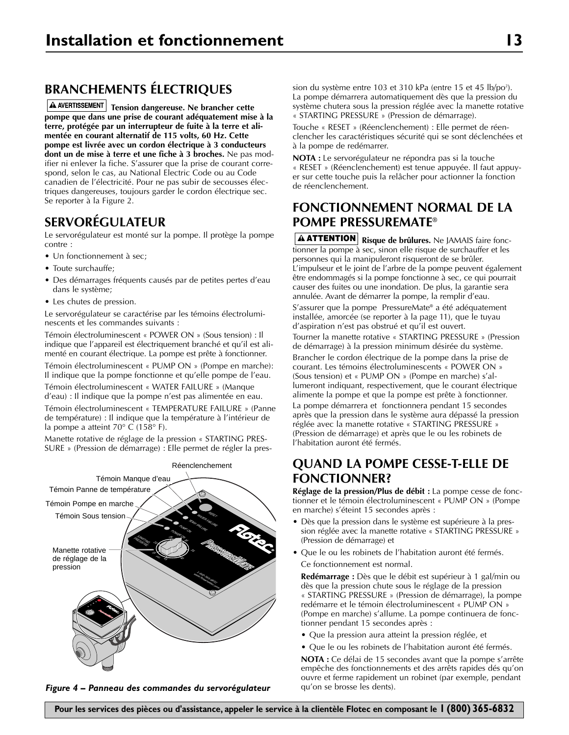# **BRANCHEMENTS ÉLECTRIQUES**

**A AVERTISSEMENT** Tension dangereuse. Ne brancher cette **pompe que dans une prise de courant adéquatement mise à la terre, protégée par un interrupteur de fuite à la terre et alimentée en courant alternatif de 115 volts, 60 Hz. Cette pompe est livrée avec un cordon électrique à 3 conducteurs dont un de mise à terre et une fiche à 3 broches.** Ne pas modifier ni enlever la fiche. S'assurer que la prise de courant correspond, selon le cas, au National Electric Code ou au Code canadien de l'électricité. Pour ne pas subir de secousses électriques dangereuses, toujours garder le cordon électrique sec. Se reporter à la Figure 2.

### **SERVORÉGULATEUR**

Le servorégulateur est monté sur la pompe. Il protège la pompe contre :

- Un fonctionnement à sec;
- Toute surchauffe;
- Des démarrages fréquents causés par de petites pertes d'eau dans le système;
- Les chutes de pression.

Le servorégulateur se caractérise par les témoins électroluminescents et les commandes suivants :

Témoin électroluminescent « POWER ON » (Sous tension) : Il indique que l'appareil est électriquement branché et qu'il est alimenté en courant électrique. La pompe est prête à fonctionner.

Témoin électroluminescent « PUMP ON » (Pompe en marche): Il indique que la pompe fonctionne et qu'elle pompe de l'eau.

Témoin électroluminescent « WATER FAILURE » (Manque d'eau) : Il indique que la pompe n'est pas alimentée en eau.

Témoin électroluminescent « TEMPERATURE FAILURE » (Panne de température) : Il indique que la température à l'intérieur de la pompe a atteint 70° C (158° F).

Manette rotative de réglage de la pression « STARTING PRES-SURE » (Pression de démarrage) : Elle permet de régler la pres-



*Figure 4 – Panneau des commandes du servorégulateur*

sion du système entre 103 et 310 kPa (entre 15 et 45 lb/po<sup>2</sup>). La pompe démarrera automatiquement dès que la pression du système chutera sous la pression réglée avec la manette rotative « STARTING PRESSURE » (Pression de démarrage).

Touche « RESET » (Réenclenchement) : Elle permet de réenclencher les caractéristiques sécurité qui se sont déclenchées et à la pompe de redémarrer.

**NOTA :** Le servorégulateur ne répondra pas si la touche « RESET » (Réenclenchement) est tenue appuyée. Il faut appuyer sur cette touche puis la relâcher pour actionner la fonction de réenclenchement.

### **FONCTIONNEMENT NORMAL DE LA POMPE PRESSUREMATE®**

**Risque de brûlures.** Ne JAMAIS faire fonc-**ATTENTION** tionner la pompe à sec, sinon elle risque de surchauffer et les personnes qui la manipuleront risqueront de se brûler. L'impulseur et le joint de l'arbre de la pompe peuvent également être endommagés si la pompe fonctionne à sec, ce qui pourrait causer des fuites ou une inondation. De plus, la garantie sera annulée. Avant de démarrer la pompe, la remplir d'eau.

S'assurer que la pompe PressureMate® a été adéquatement installée, amorcée (se reporter à la page 11), que le tuyau d'aspiration n'est pas obstrué et qu'il est ouvert.

Tourner la manette rotative « STARTING PRESSURE » (Pression de démarrage) à la pression minimum désirée du système.

Brancher le cordon électrique de la pompe dans la prise de courant. Les témoins électroluminescents « POWER ON » (Sous tension) et « PUMP ON » (Pompe en marche) s'allumeront indiquant, respectivement, que le courant électrique alimente la pompe et que la pompe est prête à fonctionner. La pompe démarrera et fonctionnera pendant 15 secondes après que la pression dans le système aura dépassé la pression

réglée avec la manette rotative « STARTING PRESSURE » (Pression de démarrage) et après que le ou les robinets de l'habitation auront été fermés.

## **QUAND LA POMPE CESSE-T-ELLE DE FONCTIONNER?**

**Réglage de la pression/Plus de débit :** La pompe cesse de fonctionner et le témoin électroluminescent « PUMP ON » (Pompe en marche) s'éteint 15 secondes après :

- Dès que la pression dans le système est supérieure à la pression réglée avec la manette rotative « STARTING PRESSURE » (Pression de démarrage) et
- Que le ou les robinets de l'habitation auront été fermés. Ce fonctionnement est normal.

**Redémarrage :** Dès que le débit est supérieur à 1 gal/min ou dès que la pression chute sous le réglage de la pression « STARTING PRESSURE » (Pression de démarrage), la pompe redémarre et le témoin électroluminescent « PUMP ON » (Pompe en marche) s'allume. La pompe continuera de fonctionner pendant 15 secondes après :

- Que la pression aura atteint la pression réglée, et
- Que le ou les robinets de l'habitation auront été fermés.

**NOTA :** Ce délai de 15 secondes avant que la pompe s'arrête empêche des fonctionnements et des arrêts rapides dés qu'on ouvre et ferme rapidement un robinet (par exemple, pendant qu'on se brosse les dents).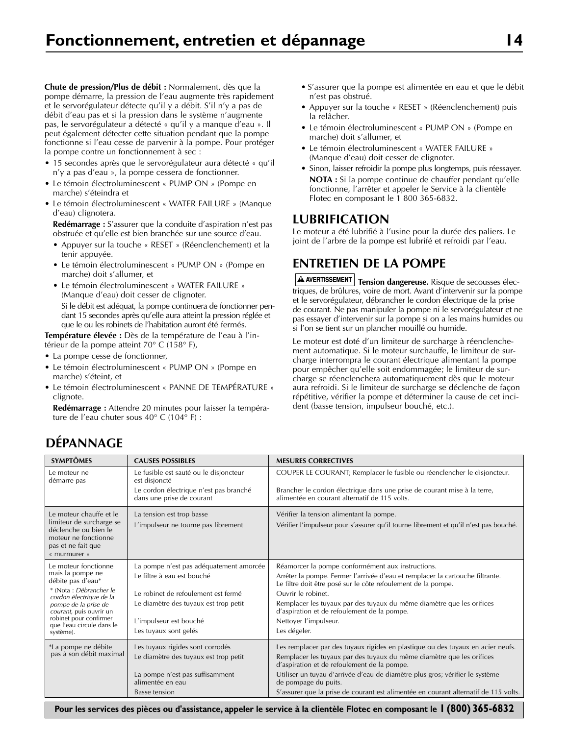**Chute de pression/Plus de débit :** Normalement, dès que la pompe démarre, la pression de l'eau augmente très rapidement et le servorégulateur détecte qu'il y a débit. S'il n'y a pas de débit d'eau pas et si la pression dans le système n'augmente pas, le servorégulateur a détecté « qu'il y a manque d'eau ». Il peut également détecter cette situation pendant que la pompe fonctionne si l'eau cesse de parvenir à la pompe. Pour protéger la pompe contre un fonctionnement à sec :

- 15 secondes après que le servorégulateur aura détecté « qu'il n'y a pas d'eau », la pompe cessera de fonctionner.
- Le témoin électroluminescent « PUMP ON » (Pompe en marche) s'éteindra et
- Le témoin électroluminescent « WATER FAILURE » (Manque d'eau) clignotera.

**Redémarrage :** S'assurer que la conduite d'aspiration n'est pas obstruée et qu'elle est bien branchée sur une source d'eau.

- Appuyer sur la touche « RESET » (Réenclenchement) et la tenir appuyée.
- Le témoin électroluminescent « PUMP ON » (Pompe en marche) doit s'allumer, et
- Le témoin électroluminescent « WATER FAILURE » (Manque d'eau) doit cesser de clignoter. Si le débit est adéquat, la pompe continuera de fonctionner pendant 15 secondes après qu'elle aura atteint la pression réglée et que le ou les robinets de l'habitation auront été fermés.

**Température élevée :** Dès de la température de l'eau à l'intérieur de la pompe atteint 70° C (158° F),

- La pompe cesse de fonctionner,
- Le témoin électroluminescent « PUMP ON » (Pompe en marche) s'éteint, et
- Le témoin électroluminescent « PANNE DE TEMPÉRATURE » clignote.

**Redémarrage :** Attendre 20 minutes pour laisser la température de l'eau chuter sous 40° C (104° F) :

- S'assurer que la pompe est alimentée en eau et que le débit n'est pas obstrué.
- Appuyer sur la touche « RESET » (Réenclenchement) puis la relâcher.
- Le témoin électroluminescent « PUMP ON » (Pompe en marche) doit s'allumer, et
- Le témoin électroluminescent « WATER FAILURE » (Manque d'eau) doit cesser de clignoter.
- Sinon, laisser refroidir la pompe plus longtemps, puis réessayer. **NOTA :** Si la pompe continue de chauffer pendant qu'elle fonctionne, l'arrêter et appeler le Service à la clientèle Flotec en composant le 1 800 365-6832.

### **LUBRIFICATION**

Le moteur a été lubrifié à l'usine pour la durée des paliers. Le joint de l'arbre de la pompe est lubrifé et refroidi par l'eau.

## **ENTRETIEN DE LA POMPE**

 $\boxed{\text{A}}$  AVERTISSEMENT | Tension dangereuse. Risque de secousses électriques, de brûlures, voire de mort. Avant d'intervenir sur la pompe et le servorégulateur, débrancher le cordon électrique de la prise de courant. Ne pas manipuler la pompe ni le servorégulateur et ne pas essayer d'intervenir sur la pompe si on a les mains humides ou si l'on se tient sur un plancher mouillé ou humide.

Le moteur est doté d'un limiteur de surcharge à réenclenchement automatique. Si le moteur surchauffe, le limiteur de surcharge interrompra le courant électrique alimentant la pompe pour empêcher qu'elle soit endommagée; le limiteur de surcharge se réenclenchera automatiquement dès que le moteur aura refroidi. Si le limiteur de surcharge se déclenche de façon répétitive, vérifier la pompe et déterminer la cause de cet incident (basse tension, impulseur bouché, etc.).

# **DÉPANNAGE**

| <b>SYMPTÔMES</b>                                                                                                                                                                                                                           | <b>CAUSES POSSIBLES</b>                                                                                                                                                                                  | <b>MESURES CORRECTIVES</b>                                                                                                                                                                                                                                                                                                                                                                             |
|--------------------------------------------------------------------------------------------------------------------------------------------------------------------------------------------------------------------------------------------|----------------------------------------------------------------------------------------------------------------------------------------------------------------------------------------------------------|--------------------------------------------------------------------------------------------------------------------------------------------------------------------------------------------------------------------------------------------------------------------------------------------------------------------------------------------------------------------------------------------------------|
| Le moteur ne<br>démarre pas                                                                                                                                                                                                                | Le fusible est sauté ou le disjoncteur<br>est disjoncté<br>Le cordon électrique n'est pas branché<br>dans une prise de courant                                                                           | COUPER LE COURANT; Remplacer le fusible ou réenclencher le disjoncteur.<br>Brancher le cordon électrique dans une prise de courant mise à la terre,<br>alimentée en courant alternatif de 115 volts.                                                                                                                                                                                                   |
| Le moteur chauffe et le<br>limiteur de surcharge se<br>déclenche ou bien le<br>moteur ne fonctionne<br>pas et ne fait que<br>« murmurer »                                                                                                  | La tension est trop basse<br>L'impulseur ne tourne pas librement                                                                                                                                         | Vérifier la tension alimentant la pompe.<br>Vérifier l'impulseur pour s'assurer qu'il tourne librement et qu'il n'est pas bouché.                                                                                                                                                                                                                                                                      |
| Le moteur fonctionne<br>mais la pompe ne<br>débite pas d'eau*<br>* (Nota : Débrancher le<br>cordon électrique de la<br>pompe de la prise de<br>courant, puis ouvrir un<br>robinet pour confirmer<br>que l'eau circule dans le<br>système). | La pompe n'est pas adéquatement amorcée<br>Le filtre à eau est bouché<br>Le robinet de refoulement est fermé<br>Le diamètre des tuyaux est trop petit<br>L'impulseur est bouché<br>Les tuyaux sont gelés | Réamorcer la pompe conformément aux instructions.<br>Arrêter la pompe. Fermer l'arrivée d'eau et remplacer la cartouche filtrante.<br>Le filtre doit être posé sur le côte refoulement de la pompe.<br>Ouvrir le robinet.<br>Remplacer les tuyaux par des tuyaux du même diamètre que les orifices<br>d'aspiration et de refoulement de la pompe.<br>Nettoyer l'impulseur.<br>Les dégeler.             |
| *La pompe ne débite<br>pas à son débit maximal                                                                                                                                                                                             | Les tuyaux rigides sont corrodés<br>Le diamètre des tuyaux est trop petit<br>La pompe n'est pas suffisamment<br>alimentée en eau<br>Basse tension                                                        | Les remplacer par des tuyaux rigides en plastique ou des tuyaux en acier neufs.<br>Remplacer les tuyaux par des tuyaux du même diamètre que les orifices<br>d'aspiration et de refoulement de la pompe.<br>Utiliser un tuyau d'arrivée d'eau de diamètre plus gros; vérifier le système<br>de pompage du puits.<br>S'assurer que la prise de courant est alimentée en courant alternatif de 115 volts. |

**Pour les services des pièces ou d'assistance, appeler le service à la clientèle Flotec en composant le 1 (800) 365-6832**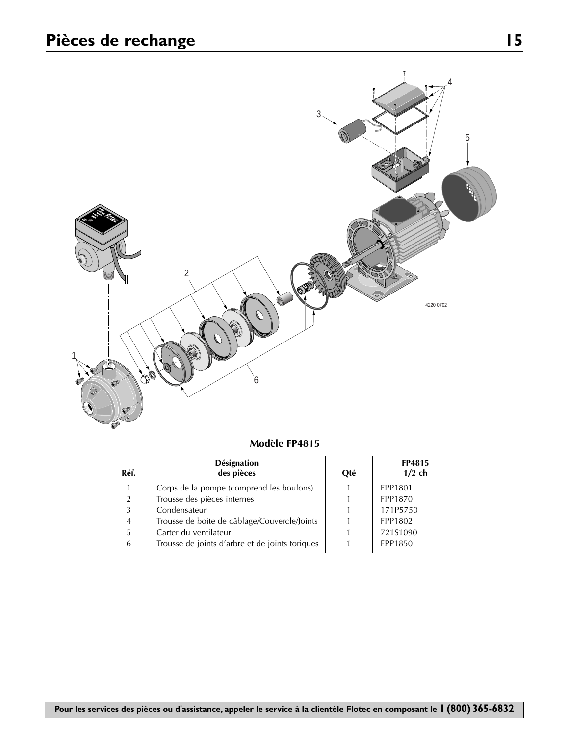

| Modèle FP4815 |  |
|---------------|--|
|---------------|--|

| Réf.           | <b>Désignation</b><br>des pièces                | Oté | FP4815<br>$1/2$ ch |
|----------------|-------------------------------------------------|-----|--------------------|
|                | Corps de la pompe (comprend les boulons)        |     | FPP1801            |
| 2              | Trousse des pièces internes                     |     | FPP1870            |
| 3              | Condensateur                                    |     | 171P5750           |
| $\overline{4}$ | Trousse de boîte de câblage/Couvercle/Joints    |     | FPP1802            |
| 5              | Carter du ventilateur                           |     | 721S1090           |
| 6              | Trousse de joints d'arbre et de joints toriques |     | FPP1850            |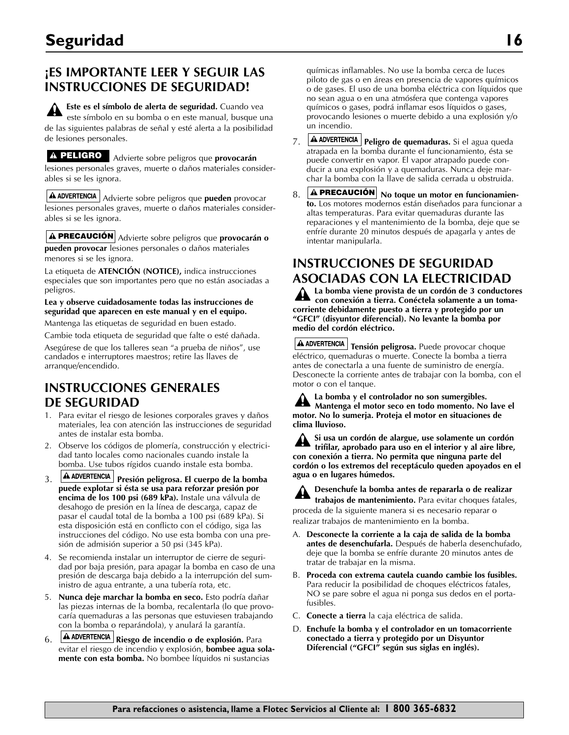## **¡ES IMPORTANTE LEER Y SEGUIR LAS INSTRUCCIONES DE SEGURIDAD!**

**Este es el símbolo de alerta de seguridad.** Cuando vea este símbolo en su bomba o en este manual, busque una de las siguientes palabras de señal y esté alerta a la posibilidad de lesiones personales.

Advierte sobre peligros que **provocarán PELIGRO**lesiones personales graves, muerte o daños materiales considerables si se les ignora.

Advierte sobre peligros que **pueden** provocar lesiones personales graves, muerte o daños materiales considerables si se les ignora.

**PRECAUCIÓN** Advierte sobre peligros que **provocarán o pueden provocar** lesiones personales o daños materiales menores si se les ignora.

La etiqueta de **ATENCIÓN (NOTICE),** indica instrucciones especiales que son importantes pero que no están asociadas a peligros.

#### **Lea y observe cuidadosamente todas las instrucciones de seguridad que aparecen en este manual y en el equipo.**

Mantenga las etiquetas de seguridad en buen estado.

Cambie toda etiqueta de seguridad que falte o esté dañada. Asegúrese de que los talleres sean "a prueba de niños", use

candados e interruptores maestros; retire las llaves de arranque/encendido.

## **INSTRUCCIONES GENERALES DE SEGURIDAD**

- 1. Para evitar el riesgo de lesiones corporales graves y daños materiales, lea con atención las instrucciones de seguridad antes de instalar esta bomba.
- 2. Observe los códigos de plomería, construcción y electricidad tanto locales como nacionales cuando instale la bomba. Use tubos rígidos cuando instale esta bomba.
- 3. **A ADVERTENCIA** Presión peligrosa. El cuerpo de la bomba **puede explotar si ésta se usa para reforzar presión por encima de los 100 psi (689 kPa).** Instale una válvula de desahogo de presión en la línea de descarga, capaz de pasar el caudal total de la bomba a 100 psi (689 kPa). Si esta disposición está en conflicto con el código, siga las instrucciones del código. No use esta bomba con una presión de admisión superior a 50 psi (345 kPa).
- 4. Se recomienda instalar un interruptor de cierre de seguridad por baja presión, para apagar la bomba en caso de una presión de descarga baja debido a la interrupción del suministro de agua entrante, a una tubería rota, etc.
- 5. **Nunca deje marchar la bomba en seco.** Esto podría dañar las piezas internas de la bomba, recalentarla (lo que provocaría quemaduras a las personas que estuviesen trabajando con la bomba o reparándola), y anulará la garantía.
- 6. **A ADVERTENCIA** Riesgo de incendio o de explosión. Para evitar el riesgo de incendio y explosión, **bombee agua solamente con esta bomba.** No bombee líquidos ni sustancias

químicas inflamables. No use la bomba cerca de luces piloto de gas o en áreas en presencia de vapores químicos o de gases. El uso de una bomba eléctrica con líquidos que no sean agua o en una atmósfera que contenga vapores químicos o gases, podrá inflamar esos líquidos o gases, provocando lesiones o muerte debido a una explosión y/o un incendio.

- 7. **A ADVERTENCIA Peligro de quemaduras.** Si el agua queda atrapada en la bomba durante el funcionamiento, ésta se puede convertir en vapor. El vapor atrapado puede conducir a una explosión y a quemaduras. Nunca deje marchar la bomba con la llave de salida cerrada u obstruida.
- 8. **A PRECAUCIÓN** No toque un motor en funcionamien**to.** Los motores modernos están diseñados para funcionar a altas temperaturas. Para evitar quemaduras durante las reparaciones y el mantenimiento de la bomba, deje que se enfríe durante 20 minutos después de apagarla y antes de intentar manipularla.

## **INSTRUCCIONES DE SEGURIDAD ASOCIADAS CON LA ELECTRICIDAD**

**La bomba viene provista de un cordón de 3 conductores con conexión a tierra. Conéctela solamente a un tomacorriente debidamente puesto a tierra y protegido por un "GFCI" (disyuntor diferencial). No levante la bomba por medio del cordón eléctrico.**

A ADVERTENCIA Tensión peligrosa. Puede provocar choque eléctrico, quemaduras o muerte. Conecte la bomba a tierra antes de conectarla a una fuente de suministro de energía. Desconecte la corriente antes de trabajar con la bomba, con el motor o con el tanque.

| A La bomba y el controlador no son sumergibles.<br>Mantenga el motor seco en todo momento. No lave el |
|-------------------------------------------------------------------------------------------------------|
| motor. No lo sumerja. Proteja el motor en situaciones de<br>clima Iluvioso.                           |

**Si usa un cordón de alargue, use solamente un cordón** ₩. **trifilar, aprobado para uso en el interior y al aire libre, con conexión a tierra. No permita que ninguna parte del cordón o los extremos del receptáculo queden apoyados en el agua o en lugares húmedos.**

**Desenchufe la bomba antes de repararla o de realizar trabajos de mantenimiento.** Para evitar choques fatales,

proceda de la siguiente manera si es necesario reparar o realizar trabajos de mantenimiento en la bomba.

- A. **Desconecte la corriente a la caja de salida de la bomba antes de desenchufarla.** Después de haberla desenchufado, deje que la bomba se enfríe durante 20 minutos antes de tratar de trabajar en la misma.
- B. **Proceda con extrema cautela cuando cambie los fusibles.** Para reducir la posibilidad de choques eléctricos fatales, NO se pare sobre el agua ni ponga sus dedos en el portafusibles.
- C. **Conecte a tierra** la caja eléctrica de salida.
- D. **Enchufe la bomba y el controlador en un tomacorriente conectado a tierra y protegido por un Disyuntor Diferencial ("GFCI" según sus siglas en inglés).**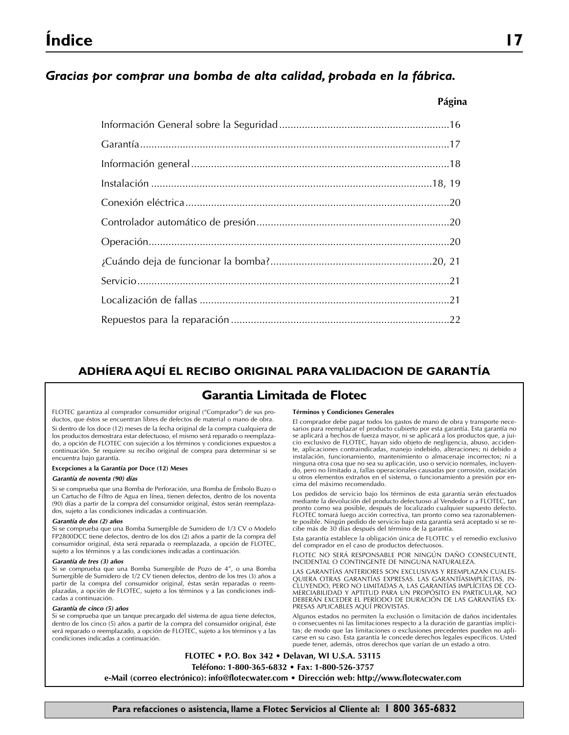# **Índice 17**

### *Gracias por comprar una bomba de alta calidad, probada en la fábrica.*

#### **Página**

### **ADHÍERA AQUÍ EL RECIBO ORIGINAL PARA VALIDACION DE GARANTÍA**

### **Garantia Limitada de Flotec**

FLOTEC garantiza al comprador consumidor original ("Comprador") de sus productos, que éstos se encuentran libres de defectos de material o mano de obra. Si dentro de los doce (12) meses de la fecha original de la compra cualquiera de los productos demostrara estar defectuoso, el mismo será reparado o reemplazado, a opción de FLOTEC con sujeción a los términos y condiciones expuestos a continuación. Se requiere su recibo original de compra para determinar si se encuentra bajo garantía.

#### **Excepciones a la Garantía por Doce (12) Meses**

#### *Garantía de noventa (90) días*

Si se comprueba que una Bomba de Perforación, una Bomba de Émbolo Buzo o un Cartucho de Filtro de Agua en línea, tienen defectos, dentro de los noventa (90) días a partir de la compra del consumidor original, éstos serán reemplazados, sujeto a las condiciones indicadas a continuación.

#### *Garantía de dos (2) años*

Si se comprueba que una Bomba Sumergible de Sumidero de 1/3 CV o Modelo FP2800DCC tiene defectos, dentro de los dos (2) años a partir de la compra del consumidor original, ésta será reparada o reemplazada, a opción de FLOTEC, sujeto a los términos y a las condiciones indicadas a continuación.

#### *Garantía de tres (3) años*

Si se comprueba que una Bomba Sumergible de Pozo de 4", o una Bomba Sumergible de Sumidero de 1/2 CV tienen defectos, dentro de los tres (3) años a partir de la compra del consumidor original, éstas serán reparadas o reemplazadas, a opción de FLOTEC, sujeto a los términos y a las condiciones indicadas a continuación.

#### *Garantía de cinco (5) años*

Si se comprueba que un tanque precargado del sistema de agua tiene defectos, dentro de los cinco (5) años a partir de la compra del consumidor original, éste será reparado o reemplazado, a opción de FLOTEC, sujeto a los términos y a las condiciones indicadas a continuación.

#### **Términos y Condiciones Generales**

El comprador debe pagar todos los gastos de mano de obra y transporte necesarios para reemplazar el producto cubierto por esta garantía. Esta garantía no se aplicará a hechos de fuerza mayor, ni se aplicará a los productos que, a juicio exclusivo de FLOTEC, hayan sido objeto de negligencia, abuso, accidente, aplicaciones contraindicadas, manejo indebido, alteraciones; ni debido a instalación, funcionamiento, mantenimiento o almacenaje incorrectos; ni a ninguna otra cosa que no sea su aplicación, uso o servicio normales, incluyendo, pero no limitado a, fallas operacionales causadas por corrosión, oxidación u otros elementos extraños en el sistema, o funcionamiento a presión por encima del máximo recomendado.

Los pedidos de servicio bajo los términos de esta garantía serán efectuados mediante la devolución del producto defectuoso al Vendedor o a FLOTEC, tan pronto como sea posible, después de localizado cualquier supuesto defecto. FLOTEC tomará luego acción correctiva, tan pronto como sea razonablemente posible. Ningún pedido de servicio bajo esta garantía será aceptado si se recibe más de 30 días después del término de la garantía.

Esta garantía establece la obligación única de FLOTEC y el remedio exclusivo del comprador en el caso de productos defectuosos.

FLOTEC NO SERÁ RESPONSABLE POR NINGÚN DAÑO CONSECUENTE, INCIDENTAL O CONTINGENTE DE NINGUNA NATURALEZA.

LAS GARANTÍAS ANTERIORES SON EXCLUSIVAS Y REEMPLAZAN CUALES-QUIERA OTRAS GARANTÍAS EXPRESAS. LAS GARANTÍASIMPLÍCITAS, IN-CLUYENDO, PERO NO LIMITADAS A, LAS GARANTÍAS IMPLÍCITAS DE CO-MERCIABILIDAD Y APTITUD PARA UN PROPÓSITO EN PARTICULAR, NO DEBERÁN EXCEDER EL PERÍODO DE DURACIÓN DE LAS GARANTÍAS EX-PRESAS APLICABLES AQUÍ PROVISTAS.

Algunos estados no permiten la exclusión o limitación de daños incidentales o consecuentes ni las limitaciones respecto a la duración de garantías implícitas; de modo que las limitaciones o exclusiones precedentes pueden no aplicarse en su caso. Esta garantía le concede derechos legales específicos. Usted puede tener, además, otros derechos que varían de un estado a otro.

**FLOTEC • P.O. Box 342 • Delavan, WI U.S.A. 53115 Teléfono: 1-800-365-6832 • Fax: 1-800-526-3757 e-Mail (correo electrónico): info@flotecwater.com • Dirección web: http://www.flotecwater.com**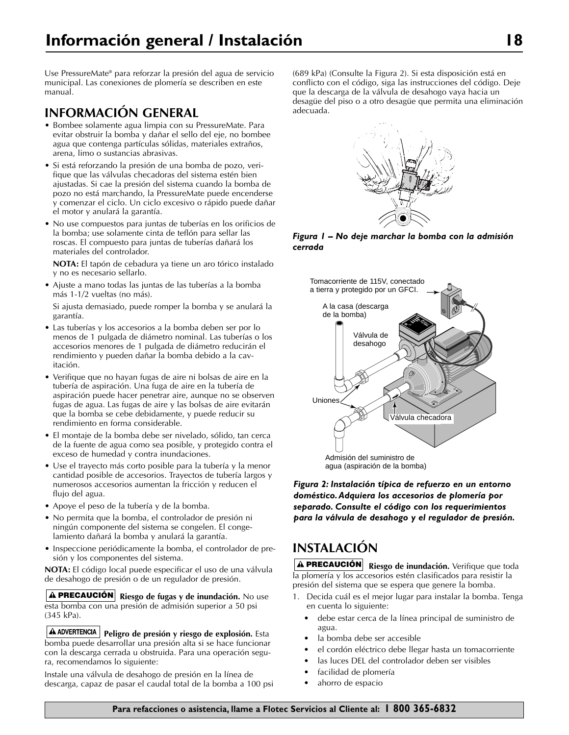Use PressureMate® para reforzar la presión del agua de servicio municipal. Las conexiones de plomería se describen en este manual.

### **INFORMACIÓN GENERAL**

- Bombee solamente agua limpia con su PressureMate. Para evitar obstruir la bomba y dañar el sello del eje, no bombee agua que contenga partículas sólidas, materiales extraños, arena, limo o sustancias abrasivas.
- Si está reforzando la presión de una bomba de pozo, verifique que las válvulas checadoras del sistema estén bien ajustadas. Si cae la presión del sistema cuando la bomba de pozo no está marchando, la PressureMate puede encenderse y comenzar el ciclo. Un ciclo excesivo o rápido puede dañar el motor y anulará la garantía.
- No use compuestos para juntas de tuberías en los orificios de la bomba; use solamente cinta de teflón para sellar las roscas. El compuesto para juntas de tuberías dañará los materiales del controlador.

**NOTA:** El tapón de cebadura ya tiene un aro tórico instalado y no es necesario sellarlo.

• Ajuste a mano todas las juntas de las tuberías a la bomba más 1-1/2 vueltas (no más).

Si ajusta demasiado, puede romper la bomba y se anulará la garantía.

- Las tuberías y los accesorios a la bomba deben ser por lo menos de 1 pulgada de diámetro nominal. Las tuberías o los accesorios menores de 1 pulgada de diámetro reducirán el rendimiento y pueden dañar la bomba debido a la cavitación.
- Verifique que no hayan fugas de aire ni bolsas de aire en la tubería de aspiración. Una fuga de aire en la tubería de aspiración puede hacer penetrar aire, aunque no se observen fugas de agua. Las fugas de aire y las bolsas de aire evitarán que la bomba se cebe debidamente, y puede reducir su rendimiento en forma considerable.
- El montaje de la bomba debe ser nivelado, sólido, tan cerca de la fuente de agua como sea posible, y protegido contra el exceso de humedad y contra inundaciones.
- Use el trayecto más corto posible para la tubería y la menor cantidad posible de accesorios. Trayectos de tubería largos y numerosos accesorios aumentan la fricción y reducen el flujo del agua.
- Apoye el peso de la tubería y de la bomba.
- No permita que la bomba, el controlador de presión ni ningún componente del sistema se congelen. El congelamiento dañará la bomba y anulará la garantía.
- Inspeccione periódicamente la bomba, el controlador de presión y los componentes del sistema.

**NOTA:** El código local puede especificar el uso de una válvula de desahogo de presión o de un regulador de presión.

**Riesgo de fugas y de inundación.** No use **PRECAUCIÓN** esta bomba con una presión de admisión superior a 50 psi (345 kPa).

A ADVERTENCIA **Peligro de presión y riesgo de explosión.** Esta bomba puede desarrollar una presión alta si se hace funcionar con la descarga cerrada u obstruida. Para una operación segura, recomendamos lo siguiente:

Instale una válvula de desahogo de presión en la línea de descarga, capaz de pasar el caudal total de la bomba a 100 psi (689 kPa) (Consulte la Figura 2). Si esta disposición está en conflicto con el código, siga las instrucciones del código. Deje que la descarga de la válvula de desahogo vaya hacia un desagüe del piso o a otro desagüe que permita una eliminación adecuada.



*Figura 1 – No deje marchar la bomba con la admisión cerrada*



*Figura 2: Instalación típica de refuerzo en un entorno doméstico.Adquiera los accesorios de plomería por separado. Consulte el código con los requerimientos para la válvula de desahogo y el regulador de presión.*

# **INSTALACIÓN**

**Riesgo de inundación.** Verifique que toda **PRECAUCIÓN** la plomería y los accesorios estén clasificados para resistir la presión del sistema que se espera que genere la bomba.

- 1. Decida cuál es el mejor lugar para instalar la bomba. Tenga en cuenta lo siguiente:
	- debe estar cerca de la línea principal de suministro de agua.
	- la bomba debe ser accesible
	- el cordón eléctrico debe llegar hasta un tomacorriente
	- las luces DEL del controlador deben ser visibles
	- facilidad de plomería
	- ahorro de espacio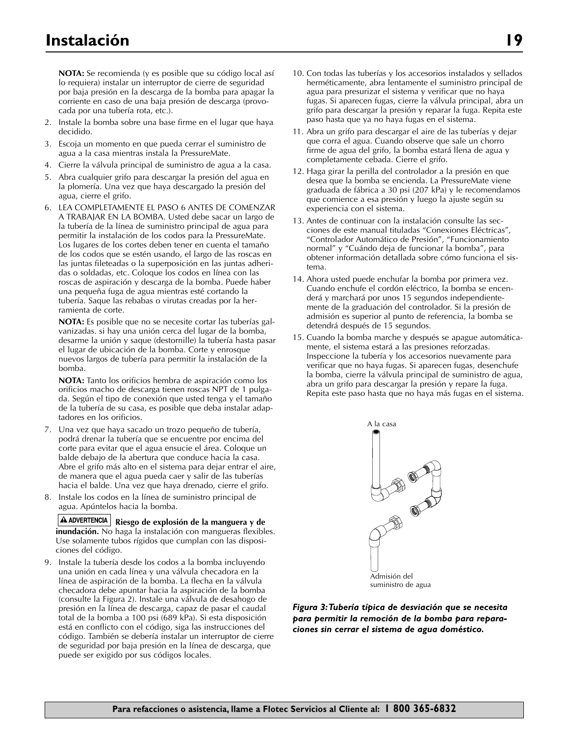**NOTA:** Se recomienda (y es posible que su código local así lo requiera) instalar un interruptor de cierre de seguridad por baja presión en la descarga de la bomba para apagar la corriente en caso de una baja presión de descarga (provocada por una tubería rota, etc.).

- 2. Instale la bomba sobre una base firme en el lugar que haya decidido.
- 3. Escoja un momento en que pueda cerrar el suministro de agua a la casa mientras instala la PressureMate.
- 4. Cierre la válvula principal de suministro de agua a la casa.
- 5. Abra cualquier grifo para descargar la presión del agua en la plomería. Una vez que haya descargado la presión del agua, cierre el grifo.
- 6. LEA COMPLETAMENTE EL PASO 6 ANTES DE COMENZAR A TRABAJAR EN LA BOMBA. Usted debe sacar un largo de la tubería de la línea de suministro principal de agua para permitir la instalación de los codos para la PressureMate. Los lugares de los cortes deben tener en cuenta el tamaño de los codos que se estén usando, el largo de las roscas en las juntas fileteadas o la superposición en las juntas adheridas o soldadas, etc. Coloque los codos en línea con las roscas de aspiración y descarga de la bomba. Puede haber una pequeña fuga de agua mientras esté cortando la tubería. Saque las rebabas o virutas creadas por la herramienta de corte.

**NOTA:** Es posible que no se necesite cortar las tuberías galvanizadas. si hay una unión cerca del lugar de la bomba, desarme la unión y saque (destornille) la tubería hasta pasar el lugar de ubicación de la bomba. Corte y enrosque nuevos largos de tubería para permitir la instalación de la bomba.

**NOTA:** Tanto los orificios hembra de aspiración como los orificios macho de descarga tienen roscas NPT de 1 pulgada. Según el tipo de conexión que usted tenga y el tamaño de la tubería de su casa, es posible que deba instalar adaptadores en los orificios.

- 7. Una vez que haya sacado un trozo pequeño de tubería, podrá drenar la tubería que se encuentre por encima del corte para evitar que el agua ensucie el área. Coloque un balde debajo de la abertura que conduce hacia la casa. Abre el grifo más alto en el sistema para dejar entrar el aire, de manera que el agua pueda caer y salir de las tuberías hacia el balde. Una vez que haya drenado, cierre el grifo.
- 8. Instale los codos en la línea de suministro principal de agua. Apúntelos hacia la bomba.

**A** ADVERTENCIA Riesgo de explosión de la manguera y de **inundación.** No haga la instalación con mangueras flexibles. Use solamente tubos rígidos que cumplan con las disposiciones del código.

9. Instale la tubería desde los codos a la bomba incluyendo una unión en cada línea y una válvula checadora en la línea de aspiración de la bomba. La flecha en la válvula checadora debe apuntar hacia la aspiración de la bomba (consulte la Figura 2). Instale una válvula de desahogo de presión en la línea de descarga, capaz de pasar el caudal total de la bomba a 100 psi (689 kPa). Si esta disposición está en conflicto con el código, siga las instrucciones del código. También se debería instalar un interruptor de cierre de seguridad por baja presión en la línea de descarga, que puede ser exigido por sus códigos locales.

- 10. Con todas las tuberías y los accesorios instalados y sellados herméticamente, abra lentamente el suministro principal de agua para presurizar el sistema y verificar que no haya fugas. Si aparecen fugas, cierre la válvula principal, abra un grifo para descargar la presión y reparar la fuga. Repita este paso hasta que ya no haya fugas en el sistema.
- 11. Abra un grifo para descargar el aire de las tuberías y dejar que corra el agua. Cuando observe que sale un chorro firme de agua del grifo, la bomba estará llena de agua y completamente cebada. Cierre el grifo.
- 12. Haga girar la perilla del controlador a la presión en que desea que la bomba se encienda. La PressureMate viene graduada de fábrica a 30 psi (207 kPa) y le recomendamos que comience a esa presión y luego la ajuste según su experiencia con el sistema.
- 13. Antes de continuar con la instalación consulte las secciones de este manual tituladas "Conexiones Eléctricas", "Controlador Automático de Presión", "Funcionamiento normal" y "Cuándo deja de funcionar la bomba", para obtener información detallada sobre cómo funciona el sistema.
- 14. Ahora usted puede enchufar la bomba por primera vez. Cuando enchufe el cordón eléctrico, la bomba se encenderá y marchará por unos 15 segundos independientemente de la graduación del controlador. Si la presión de admisión es superior al punto de referencia, la bomba se detendrá después de 15 segundos.
- 15. Cuando la bomba marche y después se apague automáticamente, el sistema estará a las presiones reforzadas. Inspeccione la tubería y los accesorios nuevamente para verificar que no haya fugas. Si aparecen fugas, desenchufe la bomba, cierre la válvula principal de suministro de agua, abra un grifo para descargar la presión y repare la fuga. Repita este paso hasta que no haya más fugas en el sistema.



*Figura 3:Tubería típica de desviación que se necesita para permitir la remoción de la bomba para reparaciones sin cerrar el sistema de agua doméstico.*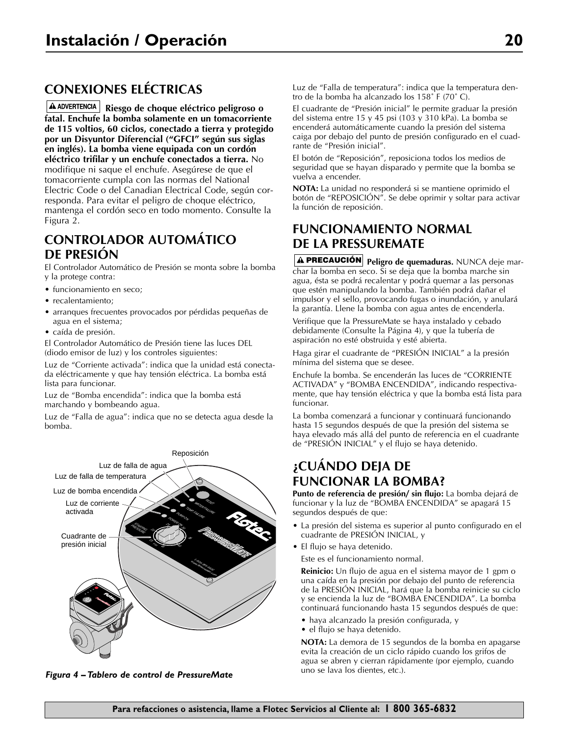# **CONEXIONES ELÉCTRICAS**

**Riesgo de choque eléctrico peligroso o fatal. Enchufe la bomba solamente en un tomacorriente de 115 voltios, 60 ciclos, conectado a tierra y protegido por un Disyuntor Diferencial ("GFCI" según sus siglas en inglés). La bomba viene equipada con un cordón eléctrico trifilar y un enchufe conectados a tierra.** No modifique ni saque el enchufe. Asegúrese de que el tomacorriente cumpla con las normas del National Electric Code o del Canadian Electrical Code, según corresponda. Para evitar el peligro de choque eléctrico, mantenga el cordón seco en todo momento. Consulte la Figura 2.

### **CONTROLADOR AUTOMÁTICO DE PRESIÓN**

El Controlador Automático de Presión se monta sobre la bomba y la protege contra:

- funcionamiento en seco;
- recalentamiento;
- arranques frecuentes provocados por pérdidas pequeñas de agua en el sistema;
- caída de presión.

El Controlador Automático de Presión tiene las luces DEL (diodo emisor de luz) y los controles siguientes:

Luz de "Corriente activada": indica que la unidad está conectada eléctricamente y que hay tensión eléctrica. La bomba está lista para funcionar.

Luz de "Bomba encendida": indica que la bomba está marchando y bombeando agua.

Luz de "Falla de agua": indica que no se detecta agua desde la bomba.



*Figura 4 – Tablero de control de PressureMate*

Luz de "Falla de temperatura": indica que la temperatura dentro de la bomba ha alcanzado los 158˚ F (70˚ C).

El cuadrante de "Presión inicial" le permite graduar la presión del sistema entre 15 y 45 psi (103 y 310 kPa). La bomba se encenderá automáticamente cuando la presión del sistema caiga por debajo del punto de presión configurado en el cuadrante de "Presión inicial".

El botón de "Reposición", reposiciona todos los medios de seguridad que se hayan disparado y permite que la bomba se vuelva a encender.

**NOTA:** La unidad no responderá si se mantiene oprimido el botón de "REPOSICIÓN". Se debe oprimir y soltar para activar la función de reposición.

## **FUNCIONAMIENTO NORMAL DE LA PRESSUREMATE**

**PRECAUCIÓN** Peligro de quemaduras. NUNCA deje marchar la bomba en seco. Si se deja que la bomba marche sin agua, ésta se podrá recalentar y podrá quemar a las personas que estén manipulando la bomba. También podrá dañar el impulsor y el sello, provocando fugas o inundación, y anulará la garantía. Llene la bomba con agua antes de encenderla.

Verifique que la PressureMate se haya instalado y cebado debidamente (Consulte la Página 4), y que la tubería de aspiración no esté obstruida y esté abierta.

Haga girar el cuadrante de "PRESIÓN INICIAL" a la presión mínima del sistema que se desee.

Enchufe la bomba. Se encenderán las luces de "CORRIENTE ACTIVADA" y "BOMBA ENCENDIDA", indicando respectivamente, que hay tensión eléctrica y que la bomba está lista para funcionar.

La bomba comenzará a funcionar y continuará funcionando hasta 15 segundos después de que la presión del sistema se haya elevado más allá del punto de referencia en el cuadrante de "PRESIÓN INICIAL" y el flujo se haya detenido.

# **¿CUÁNDO DEJA DE FUNCIONAR LA BOMBA?**

**Punto de referencia de presión/ sin flujo:** La bomba dejará de funcionar y la luz de "BOMBA ENCENDIDA" se apagará 15 segundos después de que:

- La presión del sistema es superior al punto configurado en el cuadrante de PRESIÓN INICIAL, y
- El flujo se haya detenido.
- Este es el funcionamiento normal.

**Reinicio:** Un flujo de agua en el sistema mayor de 1 gpm o una caída en la presión por debajo del punto de referencia de la PRESIÓN INICIAL, hará que la bomba reinicie su ciclo y se encienda la luz de "BOMBA ENCENDIDA". La bomba continuará funcionando hasta 15 segundos después de que:

- haya alcanzado la presión configurada, y
- el flujo se haya detenido.

**NOTA:** La demora de 15 segundos de la bomba en apagarse evita la creación de un ciclo rápido cuando los grifos de agua se abren y cierran rápidamente (por ejemplo, cuando uno se lava los dientes, etc.).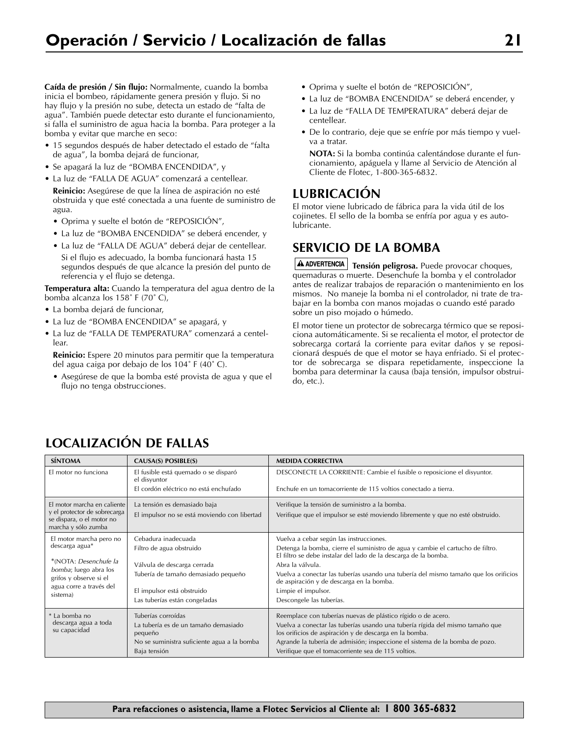**Caída de presión / Sin flujo:** Normalmente, cuando la bomba inicia el bombeo, rápidamente genera presión y flujo. Si no hay flujo y la presión no sube, detecta un estado de "falta de agua". También puede detectar esto durante el funcionamiento, si falla el suministro de agua hacia la bomba. Para proteger a la bomba y evitar que marche en seco:

- 15 segundos después de haber detectado el estado de "falta de agua", la bomba dejará de funcionar,
- Se apagará la luz de "BOMBA ENCENDIDA", y
- La luz de "FALLA DE AGUA" comenzará a centellear.
- **Reinicio:** Asegúrese de que la línea de aspiración no esté obstruida y que esté conectada a una fuente de suministro de agua.
- Oprima y suelte el botón de "REPOSICIÓN",
- La luz de "BOMBA ENCENDIDA" se deberá encender, y
- La luz de "FALLA DE AGUA" deberá dejar de centellear. Si el flujo es adecuado, la bomba funcionará hasta 15 segundos después de que alcance la presión del punto de referencia y el flujo se detenga.

**Temperatura alta:** Cuando la temperatura del agua dentro de la bomba alcanza los 158˚ F (70˚ C),

- La bomba dejará de funcionar,
- La luz de "BOMBA ENCENDIDA" se apagará, y
- La luz de "FALLA DE TEMPERATURA" comenzará a centellear.

**Reinicio:** Espere 20 minutos para permitir que la temperatura del agua caiga por debajo de los 104˚ F (40˚ C).

• Asegúrese de que la bomba esté provista de agua y que el flujo no tenga obstrucciones.

- Oprima y suelte el botón de "REPOSICIÓN",
- La luz de "BOMBA ENCENDIDA" se deberá encender, y
- La luz de "FALLA DE TEMPERATURA" deberá dejar de centellear.
- De lo contrario, deje que se enfríe por más tiempo y vuelva a tratar.

**NOTA:** Si la bomba continúa calentándose durante el funcionamiento, apáguela y llame al Servicio de Atención al Cliente de Flotec, 1-800-365-6832.

### **LUBRICACIÓN**

El motor viene lubricado de fábrica para la vida útil de los cojinetes. El sello de la bomba se enfría por agua y es autolubricante.

### **SERVICIO DE LA BOMBA**

**A ADVERTENCIA** Tensión peligrosa. Puede provocar choques, quemaduras o muerte. Desenchufe la bomba y el controlador antes de realizar trabajos de reparación o mantenimiento en los mismos. No maneje la bomba ni el controlador, ni trate de trabajar en la bomba con manos mojadas o cuando esté parado sobre un piso mojado o húmedo.

El motor tiene un protector de sobrecarga térmico que se reposiciona automáticamente. Si se recalienta el motor, el protector de sobrecarga cortará la corriente para evitar daños y se reposicionará después de que el motor se haya enfriado. Si el protector de sobrecarga se dispara repetidamente, inspeccione la bomba para determinar la causa (baja tensión, impulsor obstruido, etc.).

# **LOCALIZACIÓN DE FALLAS**

| <b>SÍNTOMA</b>                                                                                                                                                       | CAUSA(S) POSIBLE(S)                                                                                                                                                                  | <b>MEDIDA CORRECTIVA</b>                                                                                                                                                                                                                                                                                                                                                                                |
|----------------------------------------------------------------------------------------------------------------------------------------------------------------------|--------------------------------------------------------------------------------------------------------------------------------------------------------------------------------------|---------------------------------------------------------------------------------------------------------------------------------------------------------------------------------------------------------------------------------------------------------------------------------------------------------------------------------------------------------------------------------------------------------|
| El motor no funciona                                                                                                                                                 | El fusible está quemado o se disparó<br>el disyuntor<br>El cordón eléctrico no está enchufado                                                                                        | DESCONECTE LA CORRIENTE: Cambie el fusible o reposicione el disyuntor.<br>Enchufe en un tomacorriente de 115 voltios conectado a tierra.                                                                                                                                                                                                                                                                |
| El motor marcha en caliente<br>y el protector de sobrecarga<br>se dispara, o el motor no<br>marcha y sólo zumba                                                      | La tensión es demasiado baja<br>El impulsor no se está moviendo con libertad                                                                                                         | Verifique la tensión de suministro a la bomba.<br>Verifique que el impulsor se esté moviendo libremente y que no esté obstruido.                                                                                                                                                                                                                                                                        |
| El motor marcha pero no<br>descarga agua*<br>*(NOTA: Desenchufe la<br><i>bomba</i> ; luego abra los<br>grifos y observe si el<br>agua corre a través del<br>sistema) | Cebadura inadecuada<br>Filtro de agua obstruido<br>Válvula de descarga cerrada<br>Tubería de tamaño demasiado pequeño<br>El impulsor está obstruido<br>Las tuberías están congeladas | Vuelva a cebar según las instrucciones.<br>Detenga la bomba, cierre el suministro de agua y cambie el cartucho de filtro.<br>El filtro se debe instalar del lado de la descarga de la bomba.<br>Abra la válvula.<br>Vuelva a conectar las tuberías usando una tubería del mismo tamaño que los orificios<br>de aspiración y de descarga en la bomba.<br>Limpie el impulsor.<br>Descongele las tuberías. |
| La bomba no<br>descarga agua a toda<br>su capacidad                                                                                                                  | Tuberías corroídas<br>La tubería es de un tamaño demasiado<br>pequeño<br>No se suministra suficiente agua a la bomba<br>Baja tensión                                                 | Reemplace con tuberías nuevas de plástico rígido o de acero.<br>Vuelva a conectar las tuberías usando una tubería rígida del mismo tamaño que<br>los orificios de aspiración y de descarga en la bomba.<br>Agrande la tubería de admisión; inspeccione el sistema de la bomba de pozo.<br>Verifique que el tomacorriente sea de 115 voltios.                                                            |